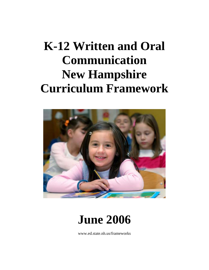# **K-12 Written and Oral Communication New Hampshire Curriculum Framework**



**June 2006**

www.ed.state.nh.us/frameworks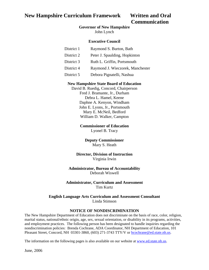# **Communication**

#### **Governor of New Hampshire**

John Lynch

#### **Executive Council**

| District 1 | Raymond S. Burton, Bath          |
|------------|----------------------------------|
| District 2 | Peter J. Spaulding, Hopkinton    |
| District 3 | Ruth L. Griffin, Portsmouth      |
| District 4 | Raymond J. Wieczorek, Manchester |
| District 5 | Debora Pignatelli, Nashua        |

#### **New Hampshire State Board of Education**

David B. Ruedig, Concord, Chairperson Fred J. Bramante, Jr., Durham Debra L. Hamel, Keene Daphne A. Kenyon, Windham John E. Lyons, Jr., Portsmouth Mary E. McNeil, Bedford William D. Walker, Campton

#### **Commissioner of Education**

Lyonel B. Tracy

#### **Deputy Commissioner**  Mary S. Heath

#### **Director, Division of Instruction**  Virginia Irwin

#### **Administrator, Bureau of Accountability**  Deborah Wiswell

#### **Administrator, Curriculum and Assessment**  Tim Kurtz

#### **English Language Arts Curriculum and Assessment Consultant**  Linda Stimson

#### **NOTICE OF NONDISCRIMINATION**

The New Hampshire Department of Education does not discriminate on the basis of race, color, religion, marital status, national/ethnic origin, age, sex, sexual orientation, or disability in its programs, activities, and employment practices. The following person has been designated to handle inquiries regarding the nondiscrimination policies: Brenda Cochrane, ADA Coordinator, NH Department of Education, 101 Pleasant Street, Concord, NH 03301-3860, (603) 271-3743 TTY/V or **bcochrane@ed.state.nh.us.** 

The information on the following pages is also available on our website at [www.ed.state.nh.us](http://www.ed.state.nh.us).

June, 2006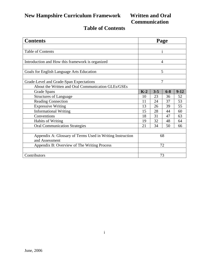# **Communication**

# **Table of Contents**

| <b>Contents</b>                                           |       |         | Page    |        |
|-----------------------------------------------------------|-------|---------|---------|--------|
|                                                           |       |         |         |        |
| <b>Table of Contents</b>                                  |       |         |         |        |
|                                                           |       |         |         |        |
| Introduction and How this framework is organized          |       |         | 4       |        |
|                                                           |       |         |         |        |
| Goals for English Language Arts Education                 |       |         | 5       |        |
|                                                           |       |         |         |        |
| Grade-Level and Grade-Span Expectations                   |       |         | 7       |        |
| About the Written and Oral Communication GLEs/GSEs        |       |         |         |        |
| Grade Spans                                               | $K-2$ | $3 - 5$ | $6 - 8$ | $9-12$ |
| <b>Structures of Language</b>                             | 10    | 23      | 36      | 52     |
| <b>Reading Connection</b>                                 | 11    | 24      | 37      | 53     |
| <b>Expressive Writing</b>                                 | 13    | 26      | 39      | 55     |
| <b>Informational Writing</b>                              | 15    | 28      | 44      | 60     |
| Conventions                                               | 18    | 31      | 47      | 63     |
| <b>Habits of Writing</b>                                  | 19    | 32      | 48      | 64     |
| <b>Oral Communication Strategies</b>                      | 21    | 34      | 50      | 66     |
|                                                           |       |         |         |        |
| Appendix A: Glossary of Terms Used in Writing Instruction |       |         | 68      |        |
| and Assessment                                            |       |         |         |        |
| Appendix B: Overview of The Writing Process               |       |         | 72      |        |
|                                                           |       |         |         |        |
| Contributors                                              |       |         | 73      |        |

i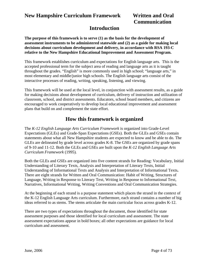# **Communication**

## **Introduction**

**The purpose of this framework is to serve (1) as the basis for the development of assessment instruments to be administered statewide and (2) as a guide for making local decisions about curriculum development and delivery, in accordance with RSA 193-C relative to the New Hampshire Educational Improvement and Assessment Program.** 

This framework establishes curriculum and expectations for English language arts. This is the accepted professional term for the subject area of reading and language arts as it is taught throughout the grades. "English" is more commonly used in high school; "language arts," in most elementary and middle/junior high schools. The English language arts consist of the interactive processes of reading, writing, speaking, listening, and viewing.

This framework will be used at the local level, in conjunction with assessment results, as a guide for making decisions about development of curriculum, delivery of instruction and utilization of classroom, school, and district assessments. Educators, school board members, and citizens are encouraged to work cooperatively to develop local educational improvement and assessment plans that build on and complement the state effort.

## **How this framework is organized**

The *K-12 English Language Arts Curriculum Framework* is organized into Grade-Level Expectations (GLEs) and Grade-Span Expectations (GSEs). Both the GLEs and GSEs contain statements about what all New Hampshire students are expected to know and be able to do. The GLEs are delineated by grade level across grades K-8. The GSEs are organized by grade spans of 9-10 and 11-12. Both the GLEs and GSEs are built upon the *K-12 English Language Arts Curriculum Framework* (1995)*.* 

Both the GLEs and GSEs are organized into five content strands for Reading: Vocabulary, Initial Understanding of Literary Texts, Analysis and Interpretation of Literary Texts, Initial Understanding of Informational Texts and Analysis and Interpretation of Informational Texts**.**  There are eight strands for Written and Oral Communication: Habit of Writing, Structures of Language, Writing in Response to Literary Text, Writing in Response to Informational Text, Narratives, Informational Writing, Writing Conventions and Oral Communication Strategies.

At the beginning of each strand is a purpose statement which places the strand in the context of the K-12 English Language Arts curriculum. Furthermore, each strand contains a number of big ideas referred to as stems. The stems articulate the main curricular focus across grades K-12.

There are two types of expectations throughout the document, those identified for state assessment purposes and those identified for local curriculum and assessment. The state assessment expectations appear in bold boxes; all other expectations are guidance for local curriculum and assessment.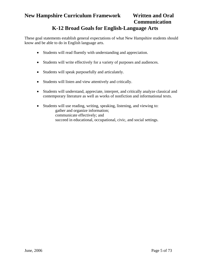# **Communication**

## **K-12 Broad Goals for English-Language Arts**

These goal statements establish general expectations of what New Hampshire students should know and be able to do in English language arts.

- Students will read fluently with understanding and appreciation.
- Students will write effectively for a variety of purposes and audiences.
- Students will speak purposefully and articulately.
- Students will listen and view attentively and critically.
- Students will understand, appreciate, interpret, and critically analyze classical and contemporary literature as well as works of nonfiction and informational texts.
- Students will use reading, writing, speaking, listening, and viewing to: gather and organize information; communicate effectively; and succeed in educational, occupational, civic, and social settings.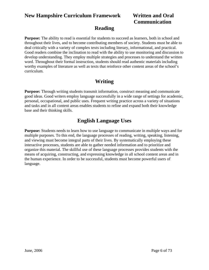# **Communication**

## **Reading**

**Purpose:** The ability to read is essential for students to succeed as learners, both in school and throughout their lives, and to become contributing members of society. Students must be able to deal critically with a variety of complex texts including literary, informational, and practical. Good readers combine the inclination to read with the ability to use monitoring and discussion to develop understanding. They employ multiple strategies and processes to understand the written word. Throughout their formal instruction, students should read authentic materials including worthy examples of literature as well as texts that reinforce other content areas of the school's curriculum.

## **Writing**

**Purpose:** Through writing students transmit information, construct meaning and communicate good ideas. Good writers employ language successfully in a wide range of settings for academic, personal, occupational, and public uses. Frequent writing practice across a variety of situations and tasks and in all content areas enables students to refine and expand both their knowledge base and their thinking skills.

## **English Language Uses**

**Purpose:** Students needs to learn how to use language to communicate in multiple ways and for multiple purposes. To this end, the language processes of reading, writing, speaking, listening, and viewing must become integral parts of their lives. By systematically employing these interactive processes, students are able to gather needed information and to prioritize and organize this material. The skillful use of these language processes provides students with the means of acquiring, constructing, and expressing knowledge in all school content areas and in the human experience. In order to be successful, students must become powerful users of language.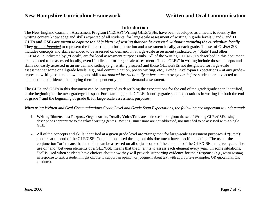#### **Introduction**

The New England Common Assessment Program (NECAP) Writing GLEs/GSEs have been developed as a means to identify the writing content knowledge and skills expected of all students, for large-scale assessment of writing in grade levels 5 and 8 and 11. **GLEs and GSEs** *are meant to capture the "big ideas" of writing that can be assessed, without narrowing the curriculum locally*. They *are not intended* to represent the full curriculum for instruction and assessment locally, at each grade. The set of GLEs/GSEs includes concepts and skills intended to be assessed on demand, in a large-scale assessment (indicated by "State") and other GLEs/GSEs indicated by ("Local") are for local assessment purposes only. All of the Writing GLEs/GSEs described in this document are expected to be assessed locally, even if indicated for large-scale assessment. "Local GLEs" in writing include those concepts and skills not easily assessed in an on-demand setting (e.g., writing process) and those GLEs/GSEs not designated for large-scale assessment at some or all grade levels (e.g., oral communication, poetry writing, etc.). Grade Level/Span Expectations – at any grade – represent writing content knowledge and skills *introduced instructionally at least one to two years before* students are expected to demonstrate confidence in applying them independently in an on-demand assessment.

The GLEs and GSEs in this document can be interpreted as describing the expectations for the end of the grade/grade span identified, or the beginning of the next grade/grade span. For example, grade 7 GLEs identify grade span expectations in writing for both the end of grade 7 and the beginning of grade 8, for large-scale assessment purposes.

*When using Written and Oral Communications Grade Level and Grade Span Expectations, the following are important to understand:* 

- 1. **Writing Dimensions: Purpose, Organization, Details, Voice/Tone** are addressed throughout the set of Writing GLEs/GSEs using descriptions appropriate to the related writing genres. Writing Dimensions are not addressed, nor intended to be assessed with a single GLE.
- 2. All of the concepts and skills identified at a given grade level are "fair game" for large-scale assessment purposes if "(State)" appears at the end of the GLE/GSE. Conjunctions used throughout this document have specific meaning. The use of the conjunction "or" means that a student can be assessed on all or just some of the elements of the GLE/GSE in a given year. The use of "and" between elements of a GLE/GSE means that the *intent* is to assess each element every year. In some situations, "or" is used when students have choices about how they will provide supporting evidence for their response (e.g., when writing in response to text, a student might choose to support an opinion or judgment about text with appropriate examples, OR quotations, OR citations).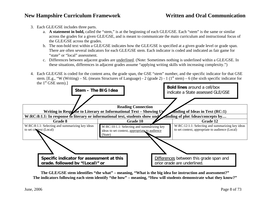- 3. Each GLE/GSE includes three parts.
	- a. **A statement in bold,** called the "stem," is at the beginning of each GLE/GSE. Each "stem" is the same or similar across the grades for a given GLE/GSE, and is meant to communicate the main curriculum and instructional focus of the GLE/GSE across the grades.
	- b. The non-bold text within a GLE/GSE indicates how the GLE/GSE is specified at a given grade level or grade span. There are often several indicators for each GLE/GSE stem. Each indicator is coded and indicated as fair game for "state" or "local" assessment.
	- c. Differences between adjacent grades are <u>underlined</u>. (Note: Sometimes nothing is underlined within a GLE/GSE. In these situations, differences in adjacent grades assume "applying writing skills with increasing complexity.")
- 4. Each GLE/GSE is coded for the content area, the grade span, the GSE "stem" number, and the specific indicator for that GSE stem. [E.g., "W (Writing) – SL (means Structures of Language) - 2 (grade 2) - 1 (1<sup>st</sup> stem) – 6 (the sixth specific indicator for the  $1<sup>st</sup> GSE stem$ .]



**The GLE/GSE stem identifies "the what" – meaning, "What is the big idea for instruction and assessment?" The indicators following each stem identify "the how" – meaning, "How will students demonstrate what they know?"**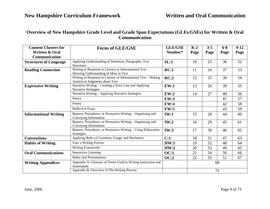### **Overview of New Hampshire Grade Level and Grade Span Expectations (GLEs/GSEs) for Written & Oral Communication**

| <b>Content Clusters for</b><br><b>Written &amp; Oral</b> | <b>Focus of GLE/GSE</b>                                                                           | <b>GLE/GSE</b><br>Number* | $K-2$<br>Page | $3 - 5$<br>Page | $6 - 8$<br>Page | $9-12$<br>Page |
|----------------------------------------------------------|---------------------------------------------------------------------------------------------------|---------------------------|---------------|-----------------|-----------------|----------------|
| Communication                                            |                                                                                                   |                           |               |                 |                 |                |
| <b>Structures of Language</b>                            | Applying Understanding of Sentences, Paragraphs, Text<br><b>Structures</b>                        | SL:1                      | 10            | 23              | 36              | 52             |
| <b>Reading Connection</b>                                | Writing in Response to Literary or Informational Text-<br>Showing Understanding of Ideas in Text  | RC:1                      | 11            | 24              | 37              | 53             |
|                                                          | Writing in Response to Literary or Informational Text - Making<br>Analytical Judgments about Text | RC:2                      | 12            | 25              | 38              | 54             |
| <b>Expressive Writing</b>                                | Narrative Writing – Creating a Story Line and Applying<br><b>Narrative Strategies</b>             | EW:1                      | 13            | 26              | 39              | 55             |
|                                                          | Narrative Writing - Applying Narrative Strategies                                                 | EW:2                      | 14            | 27              | 40              | 56             |
|                                                          | Poetry                                                                                            | <b>EW:3</b>               |               |                 | 41              | 57             |
|                                                          | Poetry                                                                                            | <b>EW:4</b>               |               |                 | 42              | 58             |
|                                                          | <b>Reflective Essay</b>                                                                           | <b>EW:5</b>               |               |                 | 43              | 59             |
| <b>Informational Writing</b>                             | Reports, Procedures, or Persuasive Writing – Organizing and<br>Conveying Information              | IW:1                      | 15            | 28              | 44              | 60             |
|                                                          | Reports, Procedures, or Persuasive Writing - Organizing and<br>Conveying Information              | IW:2                      | 16            | 29              | 45              | 61             |
|                                                          | Reports, Procedures, or Persuasive Writing - Using Elaboration<br><b>Strategies</b>               | <b>IW:3</b>               | 17            | 30              | 46              | 62             |
| <b>Conventions</b>                                       | Applying Rules of Grammar, Usage, and Mechanics                                                   | C:1                       | 18            | 31              | 47              | 63             |
| <b>Habits of Writing</b>                                 | <b>Uses a Writing Process</b>                                                                     | HW:1                      | 19            | 32              | 48              | 64             |
|                                                          | Writing Extensively                                                                               | HW:2                      | 20            | 33              | 49              | 65             |
| <b>Oral Communications</b>                               | <b>Interactive Listening</b>                                                                      | <b>OC:1</b>               | 21            | 34              | 50              | 66             |
|                                                          | <b>Make Oral Presentations</b>                                                                    | <b>OC:2</b>               | 22            | 35              | 51              | 67             |
| <b>Writing Appendices</b>                                | Appendix A: Glossary of Terms Used in Writing Instruction and<br>Assessment                       |                           |               |                 | 68              |                |
|                                                          | Appendix B: Overview of The Writing Process                                                       |                           |               |                 | 72              |                |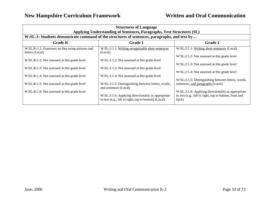| <b>Structures of Language</b><br>Applying Understanding of Sentences, Paragraphs, Text Structures (SL)<br>W:SL:1: Students demonstrate command of the structures of sentences, paragraphs, and text by |                                                                             |                                                                                                              |  |  |
|--------------------------------------------------------------------------------------------------------------------------------------------------------------------------------------------------------|-----------------------------------------------------------------------------|--------------------------------------------------------------------------------------------------------------|--|--|
|                                                                                                                                                                                                        |                                                                             |                                                                                                              |  |  |
| <b>Grade K</b>                                                                                                                                                                                         | <b>Grade 1</b>                                                              | <b>Grade 2</b>                                                                                               |  |  |
| W:SL:K:1.1: Expresses an idea using pictures and<br>letters (Local)                                                                                                                                    | W:SL:1:1.1: Writing recognizable short sentences<br>(Local)                 | W:SL:2:1.1: Writing short sentences (Local)                                                                  |  |  |
|                                                                                                                                                                                                        |                                                                             | W:SL:2:1.2: Not assessed at this grade level                                                                 |  |  |
| W:SL:K:1.2: Not assessed at this grade level                                                                                                                                                           | W:SL:1:1.2: Not assessed at this grade level                                |                                                                                                              |  |  |
|                                                                                                                                                                                                        |                                                                             | W:SL:2:1.3: Not assessed at this grade level                                                                 |  |  |
| W:SL:K:1.3: Not assessed at this grade level                                                                                                                                                           | W:SL:1:1.3: Not assessed at this grade level                                | W:SL:2:1.4: Not assessed at this grade level                                                                 |  |  |
| W:SL:K:1.4: Not assessed at this grade level                                                                                                                                                           | W:SL:1:1.4: Not assessed at this grade level                                |                                                                                                              |  |  |
|                                                                                                                                                                                                        |                                                                             | W:SL:2:1.5: Distinguishing between letters, words,                                                           |  |  |
| W:SL:K:1.5: Not assessed at this grade level                                                                                                                                                           | W:SL:1:1.5: Distinguishing between letters, words,<br>and sentences (Local) | sentences, and paragraphs (Local)                                                                            |  |  |
| W:SL:K:1.6: Not assessed at this grade level                                                                                                                                                           | W:SL:1:1.6: Applying directionality as appropriate                          | W:SL:2:1.6: Applying directionality as appropriate<br>to text (e.g., left to right, top to bottom, front and |  |  |
|                                                                                                                                                                                                        | to text (e.g., left to right, top to bottom) (Local)                        | back)                                                                                                        |  |  |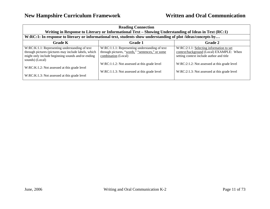| <b>Reading Connection</b><br>Writing in Response to Literary or Informational Text – Showing Understanding of Ideas in Text (RC:1)                                             |                                                                                                                          |                                                                                                                                     |  |
|--------------------------------------------------------------------------------------------------------------------------------------------------------------------------------|--------------------------------------------------------------------------------------------------------------------------|-------------------------------------------------------------------------------------------------------------------------------------|--|
| W:RC:1: In response to literary or informational text, students show understanding of plot /ideas/concepts by                                                                  |                                                                                                                          |                                                                                                                                     |  |
| <b>Grade K</b><br><b>Grade 2</b><br>Grade 1                                                                                                                                    |                                                                                                                          |                                                                                                                                     |  |
| W:RC:K:1.1: Representing understanding of text<br>through pictures (pictures may include labels, which<br>might only include beginning sounds and/or ending<br>sounds) (Local) | W:RC:1:1.1: Representing understanding of text<br>through pictures, "words," "sentences," or some<br>combination (Local) | $W:RC:2:1.1$ : Selecting information to set<br>context/background (Local) EXAMPLE: When<br>setting context include author and title |  |
| W:RC:K:1.2: Not assessed at this grade level<br>W:RC:K:1.3: Not assessed at this grade level                                                                                   | W:RC:1:1.2: Not assessed at this grade level<br>W:RC:1:1.3: Not assessed at this grade level                             | W:RC:2:1.2: Not assessed at this grade level<br>W:RC:2:1.3: Not assessed at this grade level                                        |  |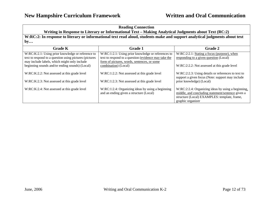#### **Reading Connection Writing in Response to Literary or Informational Text – Making Analytical Judgments about Text (RC:2)**

**W:RC:2: In response to literary or informational text read aloud, students make and support analytical judgments about text by…**

| <b>Grade K</b>                                         | <b>Grade 1</b>                                       | <b>Grade 2</b>                                     |
|--------------------------------------------------------|------------------------------------------------------|----------------------------------------------------|
| W:RC:K:2.1: Using prior knowledge or reference to      | W:RC:1:2.1: Using prior knowledge or references to   | W:RC:2:2.1: Stating a focus (purpose), when        |
| text to respond to a question using pictures (pictures | text to respond to a question (evidence may take the | responding to a given question (Local)             |
| may include labels, which might only include           | form of pictures, words, sentences, or some          |                                                    |
| beginning sounds and/or ending sounds) (Local)         | combination) (Local)                                 | W:RC:2:2.2: Not assessed at this grade level       |
|                                                        |                                                      |                                                    |
| W:RC:K:2.2: Not assessed at this grade level           | W:RC:1:2.2: Not assessed at this grade level         | W:RC:2:2.3: Using details or references to text to |
|                                                        |                                                      | support a given focus (Note: support may include   |
| W:RC:K:2.3: Not assessed at this grade level           | W:RC:1:2.3: Not assessed at this grade level         | prior knowledge) (Local)                           |
|                                                        |                                                      |                                                    |
| W:RC:K:2.4: Not assessed at this grade level           | W:RC:1:2.4: Organizing ideas by using a beginning    | W:RC:2:2.4: Organizing ideas by using a beginning, |
|                                                        | and an ending given a structure (Local)              | middle, and concluding statement/sentence given a  |
|                                                        |                                                      | structure (Local) EXAMPLES: template, frame,       |
|                                                        |                                                      | graphic organizer                                  |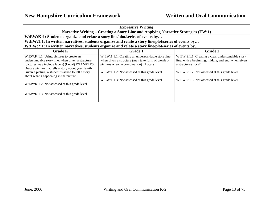| <b>Expressive Writing</b>                                                                                                                                                                                                                                                                                                                                |                                                                                                                                                                                                                                                  |                                                                                                                                                                                                                                 |  |
|----------------------------------------------------------------------------------------------------------------------------------------------------------------------------------------------------------------------------------------------------------------------------------------------------------------------------------------------------------|--------------------------------------------------------------------------------------------------------------------------------------------------------------------------------------------------------------------------------------------------|---------------------------------------------------------------------------------------------------------------------------------------------------------------------------------------------------------------------------------|--|
|                                                                                                                                                                                                                                                                                                                                                          | Narrative Writing – Creating a Story Line and Applying Narrative Strategies (EW:1)                                                                                                                                                               |                                                                                                                                                                                                                                 |  |
| W:EW:K:1: Students organize and relate a story line/plot/series of events by                                                                                                                                                                                                                                                                             |                                                                                                                                                                                                                                                  |                                                                                                                                                                                                                                 |  |
|                                                                                                                                                                                                                                                                                                                                                          | W:EW:1:1: In written narratives, students organize and relate a story line/plot/series of events by                                                                                                                                              |                                                                                                                                                                                                                                 |  |
|                                                                                                                                                                                                                                                                                                                                                          | W:EW:2:1: In written narratives, students organize and relate a story line/plot/series of events by                                                                                                                                              |                                                                                                                                                                                                                                 |  |
| <b>Grade K</b>                                                                                                                                                                                                                                                                                                                                           | Grade 1                                                                                                                                                                                                                                          | <b>Grade 2</b>                                                                                                                                                                                                                  |  |
| W:EW:K:1.1: Using pictures to create an<br>understandable story line, when given a structure<br>(pictures may include labels) (Local) EXAMPLES:<br>Draw a picture that tells a story about your family.<br>Given a picture, a student is asked to tell a story<br>about what's happening in the picture.<br>W:EW:K:1.2: Not assessed at this grade level | W:EW:1:1.1: Creating an understandable story line,<br>when given a structure (may take form of words or<br>pictures or some combination) (Local)<br>W:EW:1:1.2: Not assessed at this grade level<br>W:EW:1:1.3: Not assessed at this grade level | W:EW:2:1.1: Creating a clear understandable story<br>line, with a beginning, middle, and end, when given<br>a structure (Local)<br>W:EW:2:1.2: Not assessed at this grade level<br>W:EW:2:1.3: Not assessed at this grade level |  |
| W:EW:K:1.3: Not assessed at this grade level                                                                                                                                                                                                                                                                                                             |                                                                                                                                                                                                                                                  |                                                                                                                                                                                                                                 |  |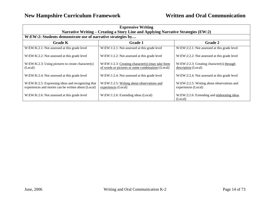| <b>Expressive Writing</b>                                                                                 |                                                                                                       |                                                                   |  |  |
|-----------------------------------------------------------------------------------------------------------|-------------------------------------------------------------------------------------------------------|-------------------------------------------------------------------|--|--|
| Narrative Writing – Creating a Story Line and Applying Narrative Strategies (EW:2)                        |                                                                                                       |                                                                   |  |  |
| W:EW:2: Students demonstrate use of narrative strategies by                                               |                                                                                                       |                                                                   |  |  |
| <b>Grade K</b>                                                                                            | <b>Grade 1</b>                                                                                        | <b>Grade 2</b>                                                    |  |  |
| W:EW:K:2.1: Not assessed at this grade level                                                              | W:EW:1:2.1: Not assessed at this grade level                                                          | W:EW:2:2.1: Not assessed at this grade level                      |  |  |
| W:EW:K:2.2: Not assessed at this grade level                                                              | W:EW:1:2.2: Not assessed at this grade level                                                          | W:EW:2:2.2: Not assessed at this grade level                      |  |  |
| W:EW:K:2.3: Using pictures to create character(s)<br>(Local)                                              | W:EW:1:2.3: Creating character(s) (may take form<br>of words or pictures or some combination) (Local) | W:EW:2:2.3: Creating character(s) through<br>description (Local)  |  |  |
| W:EW:K:2.4: Not assessed at this grade level                                                              | W:EW:1:2.4: Not assessed at this grade level                                                          | W:EW:2:2.4: Not assessed at this grade level                      |  |  |
| W:EW:K:2.5: Expressing ideas and recognizing that<br>experiences and stories can be written about (Local) | W:EW:1:2.5: Writing about observations and<br>experiences (Local)                                     | W:EW:2:2.5: Writing about observations and<br>experiences (Local) |  |  |
| W:EW:K:2.6: Not assessed at this grade level                                                              | W:EW:1:2.6: Extending ideas (Local)                                                                   | W:EW:2:2.6: Extending and elaborating ideas<br>(Local)            |  |  |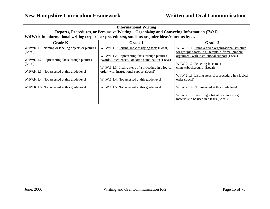| <b>Informational Writing</b>                                  |                                                                                                       |                                                                                                                                                            |  |  |
|---------------------------------------------------------------|-------------------------------------------------------------------------------------------------------|------------------------------------------------------------------------------------------------------------------------------------------------------------|--|--|
|                                                               | Reports, Procedures, or Persuasive Writing – Organizing and Conveying Information (IW:1)              |                                                                                                                                                            |  |  |
|                                                               | W:IW:1: In informational writing (reports or procedures), students organize ideas/concepts by         |                                                                                                                                                            |  |  |
| <b>Grade K</b>                                                | <b>Grade 1</b>                                                                                        | <b>Grade 2</b>                                                                                                                                             |  |  |
| W:IW:K:1.1: Naming or labeling objects or pictures<br>(Local) | W:IW:1:1.1: Sorting and classifying facts (Local)<br>W:IW:1:1.2: Representing facts through pictures, | W:IW:2:1.1: Using a given organizational structure<br>for grouping facts (e.g., template, frame, graphic<br>organizer), with instructional support (Local) |  |  |
| W:IW:K:1.2: Representing facts through pictures<br>(Local)    | "words," "sentences," or some combination (Local)                                                     | W:IW:2:1.2: Selecting facts to set                                                                                                                         |  |  |
| W:IW:K:1.3: Not assessed at this grade level                  | W:IW:1:1.3: Listing steps of a procedure in a logical<br>order, with instructional support (Local)    | context/background (Local)<br>W:IW:2:1.3: Listing steps of a procedure in a logical                                                                        |  |  |
| W:IW:K:1.4: Not assessed at this grade level                  | W:IW:1:1.4: Not assessed at this grade level                                                          | order (Local)                                                                                                                                              |  |  |
| W:IW:K:1.5: Not assessed at this grade level                  | W:IW:1:1.5: Not assessed at this grade level                                                          | W:IW:2:1.4: Not assessed at this grade level                                                                                                               |  |  |
|                                                               |                                                                                                       | W:IW:2:1.5: Providing a list of resources (e.g.<br>materials to be used in a task) (Local)                                                                 |  |  |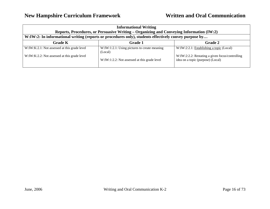| <b>Informational Writing</b><br>Reports, Procedures, or Persuasive Writing – Organizing and Conveying Information (IW:2) |                                                           |                                                                                      |  |
|--------------------------------------------------------------------------------------------------------------------------|-----------------------------------------------------------|--------------------------------------------------------------------------------------|--|
| W:IW:2: In informational writing (reports or procedures only), students effectively convey purpose by                    |                                                           |                                                                                      |  |
| <b>Grade K</b>                                                                                                           | <b>Grade 1</b>                                            | <b>Grade 2</b>                                                                       |  |
| W:IW:K:2.1: Not assessed at this grade level                                                                             | $W:IW:1:2.1: Using pictures to create meaning$<br>(Local) | W:IW:2:2.1: Establishing a topic (Local)                                             |  |
| W:IW:K:2.2: Not assessed at this grade level                                                                             | W:IW:1:2.2: Not assessed at this grade level              | W:IW:2:2.2: Restating a given focus/controlling<br>idea on a topic (purpose) (Local) |  |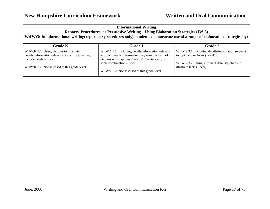#### **Informational Writing Reports, Procedures, or Persuasive Writing – Using Elaboration Strategies (IW:3)**

#### **W:IW:3: In informational writing(reports or procedures only), students demonstrate use of a range of elaboration strategies by:**

| <b>Grade K</b>                                                                                                            | <b>Grade 1</b>                                                                                                                                               | <b>Grade 2</b>                                                                      |
|---------------------------------------------------------------------------------------------------------------------------|--------------------------------------------------------------------------------------------------------------------------------------------------------------|-------------------------------------------------------------------------------------|
| W:IW:K:3.1: Using pictures to illustrate<br>details/information related to topic (pictures may<br>include labels) (Local) | W:IW:1:3.1: Including details/information relevant<br>to topic (details/information may take the form of<br>pictures with captions, "words", "sentences", or | W:IW:2:3.1: Including details/information relevant<br>to topic and/or focus (Local) |
| W:IW:K:3.2: Not assessed at this grade level                                                                              | some combination) (Local)                                                                                                                                    | W:IW:2:3.2: Using sufficient details/pictures to<br>illustrate facts (Local)        |
|                                                                                                                           | W:IW:1:3.2: Not assessed at this grade level                                                                                                                 |                                                                                     |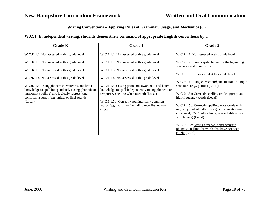| Writing Conventions – Applying Rules of Grammar, Usage, and Mechanics (C)                                                                                            |                                                                                                                                              |                                                                                                                                                                                 |  |
|----------------------------------------------------------------------------------------------------------------------------------------------------------------------|----------------------------------------------------------------------------------------------------------------------------------------------|---------------------------------------------------------------------------------------------------------------------------------------------------------------------------------|--|
| W:C:1: In independent writing, students demonstrate command of appropriate English conventions by                                                                    |                                                                                                                                              |                                                                                                                                                                                 |  |
| <b>Grade K</b>                                                                                                                                                       | <b>Grade 1</b>                                                                                                                               | <b>Grade 2</b>                                                                                                                                                                  |  |
| W:C:K:1.1: Not assessed at this grade level                                                                                                                          | W:C:1:1.1: Not assessed at this grade level                                                                                                  | W:C:2:1.1: Not assessed at this grade level                                                                                                                                     |  |
| W:C:K:1.2: Not assessed at this grade level                                                                                                                          | W:C:1:1.2: Not assessed at this grade level                                                                                                  | W:C:2:1.2: Using capital letters for the beginning of<br>sentences and names (Local)                                                                                            |  |
| W:C:K:1.3: Not assessed at this grade level                                                                                                                          | W:C:1:1.3: Not assessed at this grade level                                                                                                  | W:C:2:1.3: Not assessed at this grade level                                                                                                                                     |  |
| W:C:K:1.4: Not assessed at this grade level<br>W:C:K:1.5: Using phonemic awareness and letter                                                                        | W:C:1:1.4: Not assessed at this grade level<br>W:C:1:1.5a: Using phonemic awareness and letter                                               | $W:C:2:1.4$ : Using correct <i>end</i> punctuation in simple<br>sentences (e.g., period) (Local)                                                                                |  |
| knowledge to spell independently (using phonetic or<br>temporary spelling) and logically representing<br>consonant sounds (e.g., initial or final sounds)<br>(Local) | knowledge to spell independently (using phonetic or<br>temporary spelling when needed) (Local)<br>W:C:1:1.5b: Correctly spelling many common | W:C:2:1.5a: Correctly spelling grade-appropriate.<br>high-frequency words (Local)                                                                                               |  |
|                                                                                                                                                                      | words (e.g., had, can, including own first name)<br>(Local)                                                                                  | W:C:2:1.5b: Correctly spelling most words with<br>regularly spelled patterns (e.g., consonant-vowel<br>consonant, CVC with silent e, one syllable words<br>with blends) (Local) |  |
|                                                                                                                                                                      |                                                                                                                                              | W:C:2:1.5c: Giving a readable and accurate<br>phonetic spelling for words that have not been<br>taught (Local)                                                                  |  |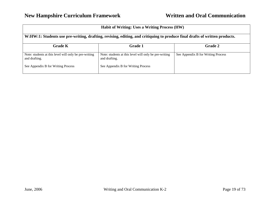| <b>Habit of Writing: Uses a Writing Process (HW)</b>                                                                       |                                                                        |                                    |
|----------------------------------------------------------------------------------------------------------------------------|------------------------------------------------------------------------|------------------------------------|
| W:HW:1: Students use pre-writing, drafting, revising, editing, and critiquing to produce final drafts of written products. |                                                                        |                                    |
| <b>Grade K</b>                                                                                                             | <b>Grade 1</b>                                                         | <b>Grade 2</b>                     |
| Note: students at this level will only be pre-writing<br>and drafting.                                                     | Note: students at this level will only be pre-writing<br>and drafting. | See Appendix B for Writing Process |
| See Appendix B for Writing Process                                                                                         | See Appendix B for Writing Process                                     |                                    |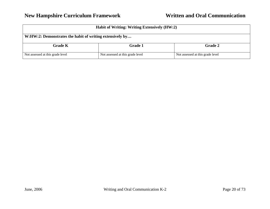| Habit of Writing: Writing Extensively (HW:2)             |                                  |                                  |
|----------------------------------------------------------|----------------------------------|----------------------------------|
| W:HW:2: Demonstrates the habit of writing extensively by |                                  |                                  |
| <b>Grade K</b>                                           | <b>Grade 1</b>                   | <b>Grade 2</b>                   |
| Not assessed at this grade level                         | Not assessed at this grade level | Not assessed at this grade level |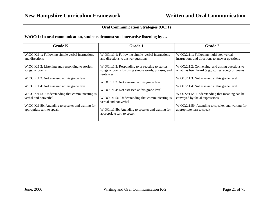| <b>Oral Communication Strategies (OC:1)</b>                                    |                                                                                                                      |                                                                                                        |  |
|--------------------------------------------------------------------------------|----------------------------------------------------------------------------------------------------------------------|--------------------------------------------------------------------------------------------------------|--|
| W:OC:1: In oral communication, students demonstrate interactive listening by   |                                                                                                                      |                                                                                                        |  |
| <b>Grade K</b>                                                                 | <b>Grade 1</b>                                                                                                       | <b>Grade 2</b>                                                                                         |  |
| W:OC:K:1.1: Following simple verbal instructions<br>and directions             | W:OC:1:1.1: Following simple verbal instructions<br>and directions to answer questions                               | W:OC:2:1.1: Following multi-step verbal<br>instructions and directions to answer questions             |  |
| W:OC:K:1.2: Listening and responding to stories,<br>songs, or poems            | W:OC:1:1.2: Responding to or reacting to stories,<br>songs or poems by using simple words, phrases, and<br>sentences | W:OC:2:1.2: Conversing, and asking questions to<br>what has been heard (e.g., stories, songs or poems) |  |
| W:OC:K:1.3: Not assessed at this grade level                                   | W:OC:1:1.3: Not assessed at this grade level                                                                         | W:OC:2:1.3: Not assessed at this grade level                                                           |  |
| W:OC:K:1.4: Not assessed at this grade level                                   | W:OC:1:1.4: Not assessed at this grade level                                                                         | W:OC:2:1.4: Not assessed at this grade level                                                           |  |
| W:OC:K:1.5a: Understanding that communicating is<br>verbal and nonverbal       | W:OC:1:1.5a: Understanding that communicating is<br>verbal and nonverbal                                             | W:OC:2:1.5a: Understanding that meaning can be<br>conveyed by facial expressions                       |  |
| W:OC:K:1.5b: Attending to speaker and waiting for<br>appropriate turn to speak | W:OC:1:1.5b: Attending to speaker and waiting for<br>appropriate turn to speak                                       | W:OC:2:1.5b: Attending to speaker and waiting for<br>appropriate turn to speak                         |  |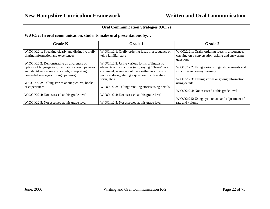| <b>Oral Communication Strategies (OC:2)</b>                                                                                                    |                                                                                                                                                             |                                                                                                                   |  |
|------------------------------------------------------------------------------------------------------------------------------------------------|-------------------------------------------------------------------------------------------------------------------------------------------------------------|-------------------------------------------------------------------------------------------------------------------|--|
| W:OC:2: In oral communication, students make oral presentations by                                                                             |                                                                                                                                                             |                                                                                                                   |  |
| <b>Grade K</b>                                                                                                                                 | <b>Grade 1</b>                                                                                                                                              | <b>Grade 2</b>                                                                                                    |  |
| W:OC:K:2.1: Speaking clearly and distinctly, orally<br>sharing information and experiences                                                     | $W:OC:1:2.1:$ Orally ordering ideas in a sequence or<br>tell a familiar story                                                                               | W:OC:2:2.1: Orally ordering ideas in a sequence,<br>carrying on a conversation, asking and answering<br>questions |  |
| W:OC:K:2.2: Demonstrating an awareness of                                                                                                      | W:OC:1:2.2: Using various forms of linguistic                                                                                                               |                                                                                                                   |  |
| options of language (e.g., imitating speech patterns<br>and identifying source of sounds, interpreting<br>nonverbal messages through pictures) | elements and structures (e.g., saying "Please" in a<br>command, asking about the weather as a form of<br>polite address;, stating a question in affirmative | W:OC:2:2.2: Using various linguistic elements and<br>structures to convey meaning                                 |  |
|                                                                                                                                                | form, etc.)                                                                                                                                                 | W:OC:2:2.3: Telling stories or giving information                                                                 |  |
| W:OC:K:2.3: Telling stories about pictures, books<br>or experiences                                                                            | W:OC:1:2.3: Telling/retelling stories using details                                                                                                         | using details                                                                                                     |  |
|                                                                                                                                                |                                                                                                                                                             | W:OC:2:2.4: Not assessed at this grade level                                                                      |  |
| W:OC:K:2.4: Not assessed at this grade level                                                                                                   | W:OC:1:2.4: Not assessed at this grade level                                                                                                                |                                                                                                                   |  |
|                                                                                                                                                |                                                                                                                                                             | W:OC:2:2.5: Using eye-contact and adjustment of                                                                   |  |
| W:OC:K:2.5: Not assessed at this grade level                                                                                                   | W:OC:1:2.5: Not assessed at this grade level                                                                                                                | rate and volume                                                                                                   |  |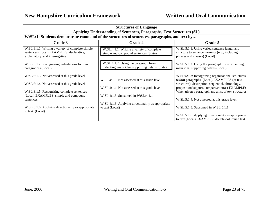| <b>Structures of Language</b><br>Applying Understanding of Sentences, Paragraphs, Text Structures (SL)                         |                                                                                                   |                                                                                                                               |
|--------------------------------------------------------------------------------------------------------------------------------|---------------------------------------------------------------------------------------------------|-------------------------------------------------------------------------------------------------------------------------------|
|                                                                                                                                | W:SL:1: Students demonstrate command of the structures of sentences, paragraphs, and text by      |                                                                                                                               |
| Grade 3                                                                                                                        | <b>Grade 4</b>                                                                                    | Grade 5                                                                                                                       |
| W:SL:3:1.1: Writing a variety of complete simple<br>sentences (Local) EXAMPLES: declarative,<br>exclamatory, and interrogative | W:SL:4:1.1: Writing a variety of complete<br>simple and compound sentences (State)                | W:SL:5:1.1: Using varied sentence length and<br>structure to enhance meaning (e.g., including<br>phrases and clauses) (Local) |
| W:SL:3:1.2: Recognizing indentations for new<br>paragraphs) (Local)                                                            | W:SL:4:1.2: Using the paragraph form:<br>indenting, main idea, supporting details (State)         | W:SL:5:1.2: Using the paragraph form: indenting,<br>main idea, supporting details (Local)                                     |
| W:SL:3:1.3: Not assessed at this grade level                                                                                   | W:SL:4:1.3: Not assessed at this grade level                                                      | W:SL:5:1.3: Recognizing organizational structures<br>within paragraphs (Local) EXAMPLES (of text                              |
| W:SL:3:1.4: Not assessed at this grade level                                                                                   |                                                                                                   | structures): description, sequential, chronology,<br>proposition/support, compare/contrast EXAMPLE:                           |
| W:SL:3:1.5: Recognizing complete sentences                                                                                     | W:SL:4:1.4: Not assessed at this grade level                                                      | When given a paragraph and a list of text structures                                                                          |
| (Local) EXAMPLES: simple and compound<br>sentences                                                                             | $W: SL: 4:1.5$ : Subsumed in $W: SL: 4:1.1$<br>W:SL:4:1.6: Applying directionality as appropriate | W:SL:5:1.4: Not assessed at this grade level                                                                                  |
| W:SL:3:1.6: Applying directionality as appropriate<br>to text (Local)                                                          | to text (Local)                                                                                   | W: SL:5:1.5: Subsumed in W:SL:5:1.1                                                                                           |
|                                                                                                                                |                                                                                                   | W:SL:5:1.6: Applying directionality as appropriate<br>to text (Local) EXAMPLE: double-columned text                           |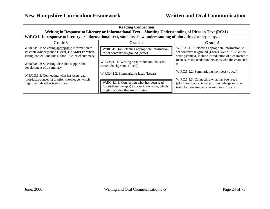| <b>Reading Connection</b><br>Writing in Response to Literary or Informational Text – Showing Understanding of Ideas in Text (RC:1)                        |                                                                                                                                   |                                                                                                                                                             |
|-----------------------------------------------------------------------------------------------------------------------------------------------------------|-----------------------------------------------------------------------------------------------------------------------------------|-------------------------------------------------------------------------------------------------------------------------------------------------------------|
| W:RC:1: In response to literary or informational text, students show understanding of plot /ideas/concepts by                                             |                                                                                                                                   |                                                                                                                                                             |
| Grade 3                                                                                                                                                   | <b>Grade 4</b>                                                                                                                    | Grade 5                                                                                                                                                     |
| W:RC:3:1.1: Selecting appropriate information to<br>set context/background (Local) EXAMPLE: When<br>setting context, include author, title, brief summary | W:RC:4:1.1a: Selecting appropriate information<br>to set context/background (State)                                               | W:RC:5:1.1: Selecting appropriate information to<br>set context/background (Local) EXAMPLE: When<br>setting context, include introduction of a character to |
| W:RC:3:1.2: Selecting ideas that support the<br>development of a summary                                                                                  | W:RC:4:1.1b: Writing an introduction that sets<br>context/background (Local)                                                      | make sure the reader understands who the character<br><b>1S</b>                                                                                             |
| W:RC:3:1.3: Connecting what has been read<br>(plot/ideas/concepts) to prior knowledge, which                                                              | W:RC:4:1.2: Summarizing ideas (Local)                                                                                             | W:RC:5:1.2: Summarizing key ideas (Local)<br>W:RC:5:1.3: Connecting what has been read                                                                      |
| might include other texts (Local)                                                                                                                         | W:RC:4:1.3: Connecting what has been read<br>(plot/ideas/concepts) to prior knowledge, which<br>might include other texts (State) | (plot/ideas/concepts) to prior knowledge or other<br>texts, by referring to relevant ideas (Local)                                                          |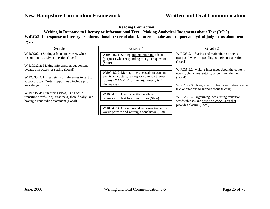| <b>Reading Connection</b><br>Writing in Response to Literary or Informational Text – Making Analytical Judgments about Text (RC:2)<br>W:RC:2: In response to literary or informational text read aloud, students make and support analytical judgments about text<br>by |                                                                                                                                                                                           |                                                                                                                                                                         |
|-------------------------------------------------------------------------------------------------------------------------------------------------------------------------------------------------------------------------------------------------------------------------|-------------------------------------------------------------------------------------------------------------------------------------------------------------------------------------------|-------------------------------------------------------------------------------------------------------------------------------------------------------------------------|
|                                                                                                                                                                                                                                                                         |                                                                                                                                                                                           |                                                                                                                                                                         |
| W:RC:3:2.1: Stating a focus (purpose), when<br>responding to a given question (Local)                                                                                                                                                                                   | W:RC:4:2.1: Stating and maintaining a focus<br>(purpose) when responding to a given question<br>(State)                                                                                   | W:RC:5:2.1: Stating and maintaining a focus<br>(purpose) when responding to a given a question<br>(Local)                                                               |
| W:RC:3:2.2: Making inferences about content,<br>events, characters, or setting (Local)<br>$W:RC:3:2.3$ : Using details or references to text to<br>support focus (Note: support may include prior<br>knowledge) (Local)                                                 | W:RC:4:2.2: Making inferences about content,<br>events, characters, setting, or common themes<br>(State) EXAMPLE (of theme): honesty isn't<br>always easy                                 | W:RC:5:2.2: Making inferences about the content,<br>events, characters, setting, or common themes<br>(Local)<br>W:RC:5:2.3: Using specific details and references to    |
| W:RC:3:2.4: Organizing ideas, using basic<br>transition words (e.g., first, next, then, finally) and<br>having a concluding statement (Local)                                                                                                                           | W:RC:4:2.3: Using specific details and<br>references to text to support focus (State)<br>W:RC:4:2.4: Organizing ideas, using transition<br>words/phrases and writing a conclusion (State) | text or citations to support focus (Local)<br>W:RC:5:2.4: Organizing ideas, using transition<br>words/phrases and writing a conclusion that<br>provides closure (Local) |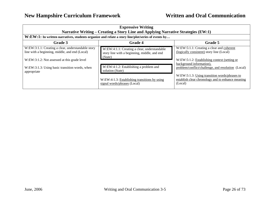| <b>Expressive Writing</b><br>Narrative Writing - Creating a Story Line and Applying Narrative Strategies (EW:1)                                      |                                                                                                         |                                                                                                                                        |
|------------------------------------------------------------------------------------------------------------------------------------------------------|---------------------------------------------------------------------------------------------------------|----------------------------------------------------------------------------------------------------------------------------------------|
| W:EW:1: In written narratives, students organize and relate a story line/plot/series of events by                                                    |                                                                                                         |                                                                                                                                        |
| Grade 3                                                                                                                                              | <b>Grade 4</b>                                                                                          | Grade 5                                                                                                                                |
| W:EW:3:1.1: Creating a clear, understandable story<br>line with a beginning, middle, and end (Local)<br>W:EW:3:1.2: Not assessed at this grade level | W:EW:4:1.1: Creating a clear, understandable<br>story line with a beginning, middle, and end<br>(State) | W:EW:5:1.1: Creating a clear and coherent<br>(logically consistent) story line (Local)<br>W:EW:5:1.2: Establishing context (setting or |
| W:EW:3:1.3: Using basic transition words, when<br>appropriate                                                                                        | W:EW:4:1.2: Establishing a problem and<br>solution (State)                                              | background information),<br>problem/conflict/challenge, and resolution (Local)                                                         |
|                                                                                                                                                      | W:EW:4:1.3: Establishing transitions by using<br>signal words/phrases (Local)                           | W:EW:5:1.3: Using transition words/phrases to<br>establish clear chronology and to enhance meaning<br>(Local)                          |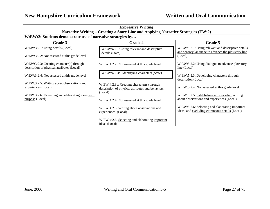| <b>Expressive Writing</b><br>Narrative Writing - Creating a Story Line and Applying Narrative Strategies (EW:2) |                                                                                                |                                                                                                                      |
|-----------------------------------------------------------------------------------------------------------------|------------------------------------------------------------------------------------------------|----------------------------------------------------------------------------------------------------------------------|
| W:EW:2: Students demonstrate use of narrative strategies by                                                     |                                                                                                |                                                                                                                      |
| Grade 3                                                                                                         | <b>Grade 4</b>                                                                                 | Grade 5                                                                                                              |
| W:EW:3:2.1: Using details (Local)<br>W:EW:3:2.2: Not assessed at this grade level                               | W:EW:4:2.1: Using relevant and descriptive<br>details (State)                                  | W:EW:5:2.1: Using relevant and descriptive details<br>and sensory language to advance the plot/story line<br>(Local) |
| $W:EW:3:2.3$ : Creating character(s) through<br>description of physical attributes (Local)                      | W:EW:4:2.2: Not assessed at this grade level                                                   | W:EW:5:2.2: Using dialogue to advance plot/story<br>line (Local)                                                     |
| W:EW:3:2.4: Not assessed at this grade level                                                                    | W:EW:4:2.3a: Identifying characters (State)                                                    | W:EW:5:2.3: Developing characters through<br>description (Local)                                                     |
| W:EW:3:2.5: Writing about observations and<br>experiences (Local)                                               | W:EW:4:2.3b: Creating character(s) through<br>description of physical attributes and behaviors | W:EW:5:2.4: Not assessed at this grade level                                                                         |
| W:EW:3:2.6: Extending and elaborating ideas with<br>purpose (Local)                                             | (Local)<br>W:EW:4:2.4: Not assessed at this grade level                                        | W:EW:5:2.5: Establishing a focus when writing<br>about observations and experiences (Local)                          |
|                                                                                                                 | W:EW:4:2.5: Writing about observations and<br>experiences (Local)                              | W:EW:5:2.6: Selecting and elaborating important<br>ideas; and excluding extraneous details (Local)                   |
|                                                                                                                 | W:EW:4:2.6: Selecting and elaborating important<br>ideas (Local)                               |                                                                                                                      |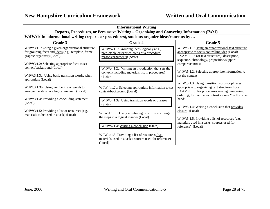| <b>Informational Writing</b><br>Reports, Procedures, or Persuasive Writing - Organizing and Conveying Information (IW:1)                 |                                                                                                                            |                                                                                                                                                                                                          |
|------------------------------------------------------------------------------------------------------------------------------------------|----------------------------------------------------------------------------------------------------------------------------|----------------------------------------------------------------------------------------------------------------------------------------------------------------------------------------------------------|
|                                                                                                                                          | W:IW:1: In informational writing (reports or procedures), students organize ideas/concepts by                              |                                                                                                                                                                                                          |
| Grade 3                                                                                                                                  | <b>Grade 4</b>                                                                                                             | Grade 5                                                                                                                                                                                                  |
| W:IW:3:1.1: Using a given organizational structure<br>for grouping facts and ideas (e.g., template, frame,<br>graphic organizer) (Local) | W:IW:4:1.1: Grouping ideas logically (e.g.,<br>predictable categories, steps of a procedure,<br>reasons/arguments) (State) | W:IW:5:1.1: Using an organizational text structure<br>appropriate to focus/controlling idea (Local)<br>EXAMPLES (of text structures): description,<br>sequence, chronology, proposition/support,         |
| W:IW:3:1.2: Selecting appropriate facts to set                                                                                           |                                                                                                                            | compare/contrast                                                                                                                                                                                         |
| context/background (Local)<br>W:IW:3:1.3a: Using basic transition words, when<br>appropriate (Local)                                     | W:IW:4:1.2a: Writing an introduction that sets the<br>context (including materials list in procedures)<br>(State)          | W:IW:5:1.2: Selecting appropriate information to<br>set the context                                                                                                                                      |
| W:IW:3:1.3b: Using numbering or words to<br>arrange the steps in a logical manner (Local)                                                | W:IW:4:1.2b: Selecting appropriate information to set<br>context/background (Local)                                        | W:IW:5:1.3: Using transition words or phrases<br>appropriate to organizing text structure (Local)<br>EXAMPLES: for procedures – using numbering,<br>ordering; for compare/contrast - using "on the other |
| W:IW:3:1.4: Providing a concluding statement<br>(Local)                                                                                  | W:IW:4:1.3a: Using transition words or phrases<br>(State)                                                                  | hand"<br>W:IW:5:1.4: Writing a conclusion that provides                                                                                                                                                  |
| W:IW:3:1.5: Providing a list of resources (e.g.<br>materials to be used in a task) (Local)                                               | W:IW:4:1.3b: Using numbering or words to arrange<br>the steps in a logical manner (Local)                                  | closure (Local)<br>W:IW:5:1.5: Providing a list of resources (e.g.<br>materials used in a tasks; sources used for                                                                                        |
|                                                                                                                                          | W:IW:4:1.4: Writing a conclusion (State)                                                                                   | reference) (Local)                                                                                                                                                                                       |
|                                                                                                                                          | W:IW:4:1.5: Providing a list of resources (e.g.<br>materials used in a tasks; sources used for reference)<br>(Local)       |                                                                                                                                                                                                          |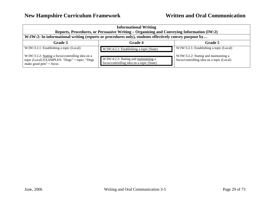| <b>Informational Writing</b><br>Reports, Procedures, or Persuasive Writing – Organizing and Conveying Information (IW:2)      |                                                                                    |                                                                                    |
|-------------------------------------------------------------------------------------------------------------------------------|------------------------------------------------------------------------------------|------------------------------------------------------------------------------------|
| W:IW:2: In informational writing (reports or procedures only), students effectively convey purpose by                         |                                                                                    |                                                                                    |
| Grade 3                                                                                                                       | <b>Grade 4</b>                                                                     | Grade 5                                                                            |
| W:IW:3:2.1: Establishing a topic (Local)                                                                                      | W:IW:4:2.1: Establishing a topic (State)                                           | W:IW:5:2.1: Establishing a topic (Local)                                           |
| W:IW:3:2.2: Stating a focus/controlling idea on a<br>topic (Local) EXAMPLES: "Dogs" = topic; "Dogs<br>make good pets" = focus | W:IW:4:2.2: Stating and maintaining a<br>focus/controlling idea on a topic (State) | W:IW:5:2.2: Stating and maintaining a<br>focus/controlling idea on a topic (Local) |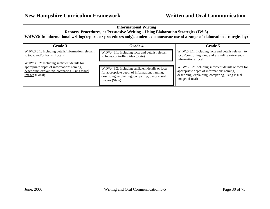| <b>Informational Writing</b>                                                     |  |
|----------------------------------------------------------------------------------|--|
| Reports, Procedures, or Persuasive Writing – Using Elaboration Strategies (IW:3) |  |

### **W:IW:3: In informational writing(reports or procedures only), students demonstrate use of a range of elaboration strategies by:**

| Grade 3                                                                                                                                                        | <b>Grade 4</b>                                                                                                                                                          | Grade 5                                                                                                                                                                 |
|----------------------------------------------------------------------------------------------------------------------------------------------------------------|-------------------------------------------------------------------------------------------------------------------------------------------------------------------------|-------------------------------------------------------------------------------------------------------------------------------------------------------------------------|
| W:IW:3:3.1: Including details/information relevant<br>to topic and/or focus (Local)                                                                            | W:IW:4:3.1: Including facts and details relevant<br>to focus/controlling idea (State)                                                                                   | W:IW:5:3.1: Including facts and details relevant to<br>focus/controlling idea, and excluding extraneous<br>information (Local)                                          |
| W:IW:3:3.2: Including sufficient details for<br>appropriate depth of information: naming,<br>describing, explaining, comparing, using visual<br>images (Local) | W:IW:4:3.2: Including sufficient details or facts<br>for appropriate depth of information: naming,<br>describing, explaining, comparing, using visual<br>images (State) | W:IW:5:3.2: Including sufficient details or facts for<br>appropriate depth of information: naming,<br>describing, explaining, comparing, using visual<br>images (Local) |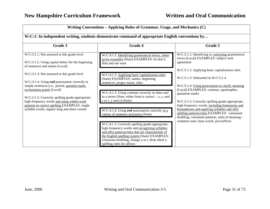| Writing Conventions - Applying Rules of Grammar, Usage, and Mechanics (C)                                                                                                                                                                                                                                                                                                               |                                                                                                                                                                                                                                                                                                                                                                              |                                                                                                                                                                                                                                                                                                                                                                                                                                                                                                         |  |
|-----------------------------------------------------------------------------------------------------------------------------------------------------------------------------------------------------------------------------------------------------------------------------------------------------------------------------------------------------------------------------------------|------------------------------------------------------------------------------------------------------------------------------------------------------------------------------------------------------------------------------------------------------------------------------------------------------------------------------------------------------------------------------|---------------------------------------------------------------------------------------------------------------------------------------------------------------------------------------------------------------------------------------------------------------------------------------------------------------------------------------------------------------------------------------------------------------------------------------------------------------------------------------------------------|--|
| W:C:1: In independent writing, students demonstrate command of appropriate English conventions by                                                                                                                                                                                                                                                                                       |                                                                                                                                                                                                                                                                                                                                                                              |                                                                                                                                                                                                                                                                                                                                                                                                                                                                                                         |  |
| Grade 3                                                                                                                                                                                                                                                                                                                                                                                 | Grade 4                                                                                                                                                                                                                                                                                                                                                                      | Grade 5                                                                                                                                                                                                                                                                                                                                                                                                                                                                                                 |  |
| W:C:3:1.1: Not assessed at this grade level<br>W:C:3:1.2: Using capital letters for the beginning<br>of sentences and names (Local)                                                                                                                                                                                                                                                     | W:C:4:1.1: Identifying grammatical errors, when<br>given examples (State) EXAMPLES: he don't;<br>Him and me went                                                                                                                                                                                                                                                             | W:C:5:1.1: Identifying or correcting grammatical<br>errors (Local) EXAMPLES: subject-verb<br>agreement                                                                                                                                                                                                                                                                                                                                                                                                  |  |
| W:C:3:1.3: Not assessed at this grade level<br>W:C:3:1.4: Using <i>end</i> punctuation correctly in<br>simple sentences (i.e., period, question mark,<br>exclamation point) (Local)<br>W:C:3:1.5: Correctly spelling grade-appropriate,<br>high-frequency words and using within-word<br>patterns to correct spelling EXAMPLES: single<br>syllable words, regular long and short vowels | W:C:4:1.2: Applying basic capitalization rules<br>(State) EXAMPLES: names, beginning<br>sentences, proper nouns, titles<br>W:C:4:1.3: Using commas correctly in dates and<br>in a series (Note: either form is correct $-x$ , y, and<br>z or $x$ , $y$ and $z$ ) (State)<br>W:C:4:1.4: Using <i>end</i> punctuation correctly in a<br>variety of sentence structures (State) | W:C:5:1.2: Applying basic capitalization rules<br>$W:C:5:1.3$ : Subsumed in $W:C:5:1.4$<br>W:C:5:1.4: Using punctuation to clarify meaning<br>(Local) EXAMPLES: commas, apostrophes,<br>quotation marks<br>W:C:5:1.5: Correctly spelling grade-appropriate,<br>high-frequency words, including homonyms and<br>homophones and applying syllables and affix<br>spelling patterns/rules EXAMPLES: consonant<br>doubling, consonant patterns, units of meaning -<br>common roots, base words, pre/suffixes |  |
|                                                                                                                                                                                                                                                                                                                                                                                         | W:C:4:1.5: Correctly spelling grade-appropriate,<br>high-frequency words and recognizing syllables<br>and affix patterns/rules that are characteristic of<br>the English spelling system (State) EXAMPLES:<br>consonant doubling, change y to i, drop silent e,<br>spelling rules for affixes                                                                                |                                                                                                                                                                                                                                                                                                                                                                                                                                                                                                         |  |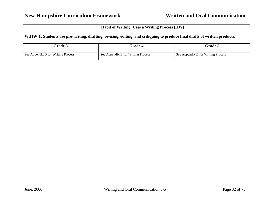| <b>Habit of Writing: Uses a Writing Process (HW)</b>                                                                       |                                    |                                    |
|----------------------------------------------------------------------------------------------------------------------------|------------------------------------|------------------------------------|
| W:HW:1: Students use pre-writing, drafting, revising, editing, and critiquing to produce final drafts of written products. |                                    |                                    |
| Grade 3                                                                                                                    | <b>Grade 4</b>                     | Grade 5                            |
| See Appendix B for Writing Process                                                                                         | See Appendix B for Writing Process | See Appendix B for Writing Process |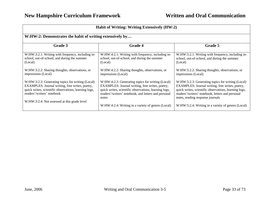| Habit of Writing: Writing Extensively (HW:2)                                                                                                                                                                                                |                                                                                                                                                                                                                                                                                      |                                                                                                                                                                                                                                                                                                             |
|---------------------------------------------------------------------------------------------------------------------------------------------------------------------------------------------------------------------------------------------|--------------------------------------------------------------------------------------------------------------------------------------------------------------------------------------------------------------------------------------------------------------------------------------|-------------------------------------------------------------------------------------------------------------------------------------------------------------------------------------------------------------------------------------------------------------------------------------------------------------|
| W:HW:2: Demonstrates the habit of writing extensively by                                                                                                                                                                                    |                                                                                                                                                                                                                                                                                      |                                                                                                                                                                                                                                                                                                             |
| Grade 3                                                                                                                                                                                                                                     | <b>Grade 4</b>                                                                                                                                                                                                                                                                       | Grade 5                                                                                                                                                                                                                                                                                                     |
| W:HW:3:2.1: Writing with frequency, including in-<br>school, out-of-school, and during the summer<br>(Local)                                                                                                                                | W:HW:4:2.1: Writing with frequency, including in-<br>school, out-of-school, and during the summer<br>(Local)                                                                                                                                                                         | W:HW:5:2.1: Writing with frequency, including in-<br>school, out-of-school, and during the summer<br>(Local)                                                                                                                                                                                                |
| W:HW:3:2.2: Sharing thoughts, observations, or<br>impressions (Local)                                                                                                                                                                       | W:HW:4:2.2: Sharing thoughts, observations, or<br>impressions (Local)                                                                                                                                                                                                                | W:HW:5:2.2: Sharing thoughts, observations, or<br>impressions (Local)                                                                                                                                                                                                                                       |
| W:HW:3:2.3: Generating topics for writing (Local)<br>EXAMPLES: Journal writing, free writes, poetry,<br>quick writes, scientific observations, learning logs,<br>readers'/writers' notebook<br>W:HW:3:2.4: Not assessed at this grade level | W:HW:4:2.3: Generating topics for writing (Local)<br>EXAMPLES: Journal writing, free writes, poetry,<br>quick writes, scientific observations, learning logs,<br>readers'/writers' notebook, and letters and personal<br>notes<br>W:HW:4:2.4: Writing in a variety of genres (Local) | W:HW:5:2.3: Generating topics for writing (Local)<br>EXAMPLES: Journal writing, free writes, poetry,<br>quick writes, scientific observations, learning logs,<br>readers'/writers' notebook, letters and personal<br>notes, reading response journals<br>W:HW:5:2.4: Writing in a variety of genres (Local) |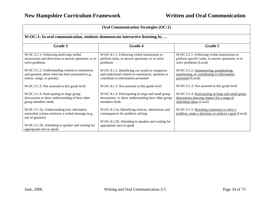| <b>Oral Communication Strategies (OC:1)</b>                                                                                      |                                                                                                                                            |                                                                                                                              |  |
|----------------------------------------------------------------------------------------------------------------------------------|--------------------------------------------------------------------------------------------------------------------------------------------|------------------------------------------------------------------------------------------------------------------------------|--|
| W:OC:1: In oral communication, students demonstrate interactive listening by                                                     |                                                                                                                                            |                                                                                                                              |  |
| Grade 3                                                                                                                          | <b>Grade 4</b>                                                                                                                             | Grade 5                                                                                                                      |  |
| W:OC:3:1.1: Following multi-step verbal<br>instructions and directions to answer questions, or to<br>solve problems              | W:OC:4:1.1: Following verbal instructions to<br>perform tasks, to answer questions, or to solve<br>problems                                | W:OC:5:1.1: Following verbal instructions to<br>perform specific tasks, to answer questions, or to<br>solve problems (Local) |  |
| W:OC:3:1.2: Understanding content to summarize<br>and question about what has been presented (e.g.,<br>stories, songs, or poems) | W:OC:4:1.2: Identifying cue words to categorize<br>and understand content to summarize, question or<br>contribute to information presented | W:OC:5:1.2: Summarizing, paraphrasing,<br>questioning, or contributing to information<br>presented (Local)                   |  |
| W:OC:3:1.3: Not assessed at this grade level                                                                                     | W:OC:4:1.3: Not assessed at this grade level                                                                                               | W:OC:5:1.3: Not assessed at this grade level                                                                                 |  |
| W:OC:3:1.4: Participating in large group<br>discussions to show understanding of how other<br>group members think                | W:OC:4:1.4: Participating in large and small group<br>discussions to show understanding how other group<br>members think.                  | W:OC:5:1.4: Participating in large and small group<br>discussions showing respect for a range of<br>individual ideas (Local) |  |
| W:OC:3:1.5a: Understanding how alternative<br>nonverbal actions reinforce a verbal message (e.g.,<br>use of gestures)            | W:OC:4:1.5a: Identifying choices, alternatives and<br>consequences for problem solving                                                     | W:OC:5:1.5: Reaching consensus to solve a<br>problem, make a decision, or achieve a goal (Local)                             |  |
| W:OC:3:1.5b: Attending to speaker and waiting for<br>appropriate turn to speak                                                   | W:OC:4:1.5b: Attending to speaker and waiting for<br>appropriate turn to speak                                                             |                                                                                                                              |  |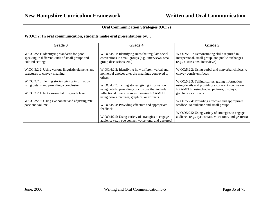| <b>Oral Communication Strategies (OC:2)</b>                                                                        |                                                                                                                                        |                                                                                                                                                   |  |
|--------------------------------------------------------------------------------------------------------------------|----------------------------------------------------------------------------------------------------------------------------------------|---------------------------------------------------------------------------------------------------------------------------------------------------|--|
| W:OC:2: In oral communication, students make oral presentations by                                                 |                                                                                                                                        |                                                                                                                                                   |  |
| Grade 3                                                                                                            | <b>Grade 4</b>                                                                                                                         | Grade 5                                                                                                                                           |  |
| W:OC:3:2.1: Identifying standards for good<br>speaking in different kinds of small groups and<br>cultural settings | W:OC:4:2.1: Identifying rules that regulate social<br>conventions in small groups (e.g., interviews, small<br>group discussions, etc.) | W:OC:5:2.1: Demonstrating skills required in<br>interpersonal, small group, and public exchanges<br>(e.g., discussions, interviews)               |  |
| W:OC:3:2.2: Using various linguistic elements and<br>structures to convey meaning                                  | W:OC:4:2.2: Identifying how different verbal and<br>nonverbal choices alter the meanings conveyed to<br>others                         | W:OC:5:2.2: Using verbal and nonverbal choices to<br>convey consistent focus                                                                      |  |
| W:OC:3:2.3: Telling stories, giving information<br>using details and providing a conclusion                        | W:OC:4:2.3: Telling stories, giving information<br>using details, providing conclusions that include                                   | W:OC:5:2.3: Telling stories, giving information<br>using details and providing a coherent conclusion<br>EXAMPLE: using books, pictures, displays, |  |
| W:OC:3:2.4: Not assessed at this grade level                                                                       | inflectional tone to convey meaning EXAMPLE:<br>using books, pictures, graphics, or artifacts                                          | graphics, or artifacts                                                                                                                            |  |
| W:OC:3:2.5: Using eye contact and adjusting rate,<br>pace and volume                                               | W:OC:4:2.4: Providing effective and appropriate<br>feedback                                                                            | W:OC:5:2.4: Providing effective and appropriate<br>feedback to audience and small groups                                                          |  |
|                                                                                                                    | W:OC:4:2.5: Using variety of strategies to engage<br>audience (e.g., eye contact, voice tone, and gestures)                            | W:OC:5:2.5: Using variety of strategies to engage<br>audience (e.g., eye contact, voice tone, and gestures)                                       |  |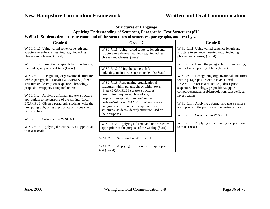| <b>Structures of Language</b><br>Applying Understanding of Sentences, Paragraphs, Text Structures (SL)                                                                                      |                                                                                                                                                                                                                  |                                                                                                                                                                                                              |
|---------------------------------------------------------------------------------------------------------------------------------------------------------------------------------------------|------------------------------------------------------------------------------------------------------------------------------------------------------------------------------------------------------------------|--------------------------------------------------------------------------------------------------------------------------------------------------------------------------------------------------------------|
|                                                                                                                                                                                             | W:SL:1: Students demonstrate command of the structures of sentences, paragraphs, and text by                                                                                                                     |                                                                                                                                                                                                              |
| Grade 6                                                                                                                                                                                     | Grade 7                                                                                                                                                                                                          | Grade 8                                                                                                                                                                                                      |
| W:SL:6:1.1: Using varied sentence length and<br>structure to enhance meaning (e.g., including<br>phrases and clauses) (Local)                                                               | W:SL:7:1.1: Using varied sentence length and<br>structure to enhance meaning (e.g., including<br>phrases and clauses) (State)                                                                                    | W:SL:8:1.1: Using varied sentence length and<br>structure to enhance meaning (e.g., including<br>phrases and clauses) (Local)                                                                                |
| W:SL:6:1.2: Using the paragraph form: indenting,<br>main idea, supporting details (Local)<br>W:SL:6:1.3: Recognizing organizational structures                                              | W:SL:7:1.2: Using the paragraph form:<br>indenting, main idea, supporting details (State)                                                                                                                        | W:SL:8:1.2: Using the paragraph form: indenting,<br>main idea, supporting details (Local)<br>W:SL:8:1.3: Recognizing organizational structures                                                               |
| within paragraphs (Local) EXAMPLES (of text<br>structures): description, sequence, chronology,<br>proposition/support, compare/contrast<br>W:SL:6:1.4: Applying a format and text structure | W:SL:7:1.3: Recognizing organizational<br>structures within paragraphs or within texts<br>(State) EXAMPLES (of text structures):<br>description, sequence, chronology,<br>proposition/support, compare/contrast, | within paragraphs or within texts (Local)<br>EXAMPLES (of text structures): description,<br>sequence, chronology, proposition/support,<br>compare/contrast, problem/solution, cause/effect,<br>investigation |
| appropriate to the purpose of the writing (Local)<br>EXAMPLE: Given a paragraph, students write the<br>next paragraph, using appropriate and consistent<br>text structure                   | problem/solution EXAMPLE: When given a<br>paragraph or text and a description of text<br>structures, students identify structure used or<br>their purposes                                                       | W:SL:8:1.4: Applying a format and text structure<br>appropriate to the purpose of the writing (Local)<br>$W:SL:8:1.5$ : Subsumed in $W:SL:8:1.1$                                                             |
| W:SL:6:1.5: Subsumed in W:SL:6:1.1                                                                                                                                                          |                                                                                                                                                                                                                  |                                                                                                                                                                                                              |
| W:SL:6:1.6: Applying directionality as appropriate<br>to text (Local)                                                                                                                       | W:SL:7:1.4: Applying a format and text structure<br>appropriate to the purpose of the writing (State)                                                                                                            | W:SL:8:1.6: Applying directionality as appropriate<br>to text (Local)                                                                                                                                        |
|                                                                                                                                                                                             | W:SL:7:1.5: Subsumed in W:SL:7:1.1                                                                                                                                                                               |                                                                                                                                                                                                              |
|                                                                                                                                                                                             | W:SL:7:1.6: Applying directionality as appropriate to<br>text (Local)                                                                                                                                            |                                                                                                                                                                                                              |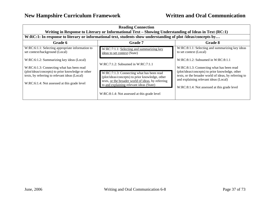| <b>Reading Connection</b><br>Writing in Response to Literary or Informational Text – Showing Understanding of Ideas in Text (RC:1)                                                                                                           |                                                                                                                                                                                                                                                                                           |                                                                                                                                                                                                                                                                                           |  |
|----------------------------------------------------------------------------------------------------------------------------------------------------------------------------------------------------------------------------------------------|-------------------------------------------------------------------------------------------------------------------------------------------------------------------------------------------------------------------------------------------------------------------------------------------|-------------------------------------------------------------------------------------------------------------------------------------------------------------------------------------------------------------------------------------------------------------------------------------------|--|
| W:RC:1: In response to literary or informational text, students show understanding of plot /ideas/concepts by                                                                                                                                |                                                                                                                                                                                                                                                                                           |                                                                                                                                                                                                                                                                                           |  |
| Grade 6                                                                                                                                                                                                                                      | <b>Grade 7</b>                                                                                                                                                                                                                                                                            | Grade 8                                                                                                                                                                                                                                                                                   |  |
| W:RC:6:1.1: Selecting appropriate information to<br>set context/background (Local)                                                                                                                                                           | W:RC:7:1.1: Selecting and summarizing key<br>ideas to set context (State)                                                                                                                                                                                                                 | W:RC:8:1.1: Selecting and summarizing key ideas<br>to set context (Local)                                                                                                                                                                                                                 |  |
| W:RC:6:1.2: Summarizing key ideas (Local)<br>W:RC:6:1.3: Connecting what has been read<br>(plot/ideas/concepts) to prior knowledge or other<br>texts, by referring to relevant ideas (Local)<br>W:RC:6:1.4: Not assessed at this grade level | $W:RC:7:1.2$ : Subsumed in $W:RC:7:1.1$<br>W:RC:7:1.3: Connecting what has been read<br>(plot/ideas/concepts) to prior knowledge, other<br>texts, or the broader world of ideas, by referring<br>to and explaining relevant ideas (State)<br>W:RC:8:1.4: Not assessed at this grade level | $W:RC:8:1.2$ : Subsumed in $W:RC:8:1.1$<br>W:RC:8:1.3: Connecting what has been read<br>(plot/ideas/concepts) to prior knowledge, other<br>texts, or the broader world of ideas, by referring to<br>and explaining relevant ideas (Local)<br>W:RC:8:1.4: Not assessed at this grade level |  |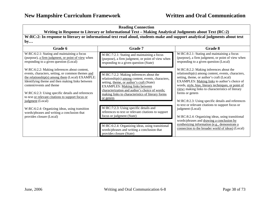$\overline{\phantom{0}}$ 

| <b>Reading Connection</b><br>Writing in Response to Literary or Informational Text - Making Analytical Judgments about Text (RC:2)<br>W:RC:2: In response to literary or informational text read aloud, students make and support analytical judgments about text<br>by                                                                                           |                                                                                                                                                                                                                                                                                                         |                                                                                                                                                                                                                                                                                                                                                                                                                                      |
|-------------------------------------------------------------------------------------------------------------------------------------------------------------------------------------------------------------------------------------------------------------------------------------------------------------------------------------------------------------------|---------------------------------------------------------------------------------------------------------------------------------------------------------------------------------------------------------------------------------------------------------------------------------------------------------|--------------------------------------------------------------------------------------------------------------------------------------------------------------------------------------------------------------------------------------------------------------------------------------------------------------------------------------------------------------------------------------------------------------------------------------|
|                                                                                                                                                                                                                                                                                                                                                                   |                                                                                                                                                                                                                                                                                                         |                                                                                                                                                                                                                                                                                                                                                                                                                                      |
| W:RC:6:2.1: Stating and maintaining a focus<br>(purpose), a firm judgment, or point of view when<br>responding to a given question (Local)                                                                                                                                                                                                                        | W:RC:7:2.1: Stating and maintaining a focus<br>(purpose), a firm judgment, or point of view when<br>responding to a given question (State)                                                                                                                                                              | W:RC:8:2.1: Stating and maintaining a focus<br>(purpose), a firm judgment, or point of view when<br>responding to a given question (Local)                                                                                                                                                                                                                                                                                           |
| W:RC:6:2.2: Making inferences about content,<br>events, characters, setting, or common themes and<br>the relationship(s) among them (Local) EXAMPLE:<br>Identifying theme and then making links between<br>content/events and theme<br>W:RC:6:2.3: Using specific details and references<br>to text or relevant citations to support focus or<br>judgment (Local) | W:RC:7:2.2: Making inferences about the<br>relationship(s) among content, events, characters,<br>setting, theme, or author's craft (State)<br><b>EXAMPLES:</b> Making links between<br>characterization and author's choice of words;<br>making links to characteristics of literary forms<br>or genres | W:RC:8:2.2: Making inferences about the<br>relationship(s) among content, events, characters,<br>setting, theme, or author's craft (Local)<br>EXAMPLES: Making links to author's choice of<br>words, style, bias, literary techniques, or point of<br>view; making links to characteristics of literary<br>forms or genres<br>W:RC:8:2.3: Using specific details and references<br>to text or relevant citations to support focus or |
| W:RC:6:2.4: Organizing ideas, using transition<br>words/phrases and writing a conclusion that<br>provides closure (Local)                                                                                                                                                                                                                                         | W:RC:7:2.3: Using specific details and<br>references to text or relevant citations to support<br>focus or judgment (State)                                                                                                                                                                              | judgment (Local)<br>W:RC:8:2.4: Organizing ideas, using transitional<br>words/phrases and drawing a conclusion by                                                                                                                                                                                                                                                                                                                    |
|                                                                                                                                                                                                                                                                                                                                                                   | W:RC:6:2.4: Organizing ideas, using transitional<br>words/phrases and writing a conclusion that<br>provides closure (State)                                                                                                                                                                             | synthesizing information (e.g., demonstrate a<br>connection to the broader world of ideas) (Local)                                                                                                                                                                                                                                                                                                                                   |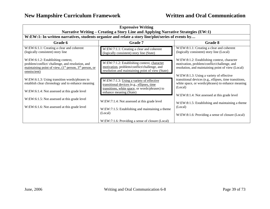| <b>Expressive Writing</b><br>Narrative Writing - Creating a Story Line and Applying Narrative Strategies (EW:1)                                                    |                                                                                                                                                |                                                                                                                                                                     |
|--------------------------------------------------------------------------------------------------------------------------------------------------------------------|------------------------------------------------------------------------------------------------------------------------------------------------|---------------------------------------------------------------------------------------------------------------------------------------------------------------------|
| W:EW:1: In written narratives, students organize and relate a story line/plot/series of events by                                                                  |                                                                                                                                                |                                                                                                                                                                     |
| Grade 6                                                                                                                                                            | <b>Grade</b> 7                                                                                                                                 | Grade 8                                                                                                                                                             |
| W:EW:6:1.1: Creating a clear and coherent<br>(logically consistent) story line                                                                                     | W:EW:7:1.1: Creating a clear and coherent<br>(logically consistent) story line (State)                                                         | W:EW:8:1.1: Creating a clear and coherent<br>(logically consistent) story line (Local)                                                                              |
| W:EW:6:1.2: Establishing context,<br>problem/conflict/ challenge, and resolution, and<br>maintaining point of view, $(1st$ person, $3rd$ person, or<br>omniscient) | W:EW:7:1.2: Establishing context, character<br>motivation, problem/conflict/challenge, and<br>resolution and maintaining point of view (State) | W:EW:8:1.2: Establishing context, character<br>motivation, problem/conflict/challenge, and<br>resolution, and maintaining point of view (Local)                     |
| W:EW:6:1.3: Using transition words/phrases to<br>establish clear chronology and to enhance meaning                                                                 | W:EW:7:1.3: Using a variety of effective<br>transitional devices (e.g., ellipses, time<br>transitions, white space, or words/phrases) to       | W:EW:8:1.3: Using a variety of effective<br>transitional devices (e.g., ellipses, time transitions,<br>white space, or words/phrases) to enhance meaning<br>(Local) |
| W:EW:6:1.4: Not assessed at this grade level                                                                                                                       | enhance meaning (State)                                                                                                                        | W:EW:8:1.4: Not assessed at this grade level                                                                                                                        |
| W:EW:6:1.5: Not assessed at this grade level                                                                                                                       | W:EW:7:1.4: Not assessed at this grade level                                                                                                   | W:EW:8:1.5: Establishing and maintaining a theme                                                                                                                    |
| W:EW:6:1.6: Not assessed at this grade level                                                                                                                       | W:EW:7:1.5: Establishing and maintaining a theme<br>(Local)<br>W:EW:7:1.6: Providing a sense of closure (Local)                                | (Local)<br>W:EW:8:1.6: Providing a sense of closure (Local)                                                                                                         |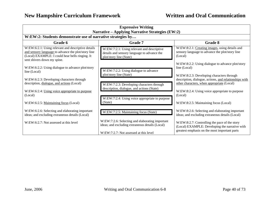| <b>Expressive Writing</b><br>Narrative – Applying Narrative Strategies (EW:2)                                                                                                               |                                                                                                                                              |                                                                                                                                                   |
|---------------------------------------------------------------------------------------------------------------------------------------------------------------------------------------------|----------------------------------------------------------------------------------------------------------------------------------------------|---------------------------------------------------------------------------------------------------------------------------------------------------|
| W:EW:2: Students demonstrate use of narrative strategies by                                                                                                                                 |                                                                                                                                              |                                                                                                                                                   |
| Grade 6                                                                                                                                                                                     | <b>Grade 7</b>                                                                                                                               | Grade 8                                                                                                                                           |
| W:EW:6:2.1: Using relevant and descriptive details<br>and sensory language to advance the plot/story line<br>(Local) EXAMPLE: I could hear bells ringing. It<br>sent shivers down my spine. | W:EW:7:2.1: Using relevant and descriptive<br>details and sensory language to advance the<br>plot/story line (State)                         | W:EW:8:2.1: Creating images, using details and<br>sensory language to advance the plot/story line<br>(Local)                                      |
| W:EW:6:2.2: Using dialogue to advance plot/story<br>line (Local)                                                                                                                            | W:EW:7:2.2: Using dialogue to advance<br>plot/story line (State)                                                                             | W:EW:8:2.2: Using dialogue to advance plot/story<br>line (Local)                                                                                  |
| W:EW:6:2.3: Developing characters through<br>description, dialogue, and actions (Local)                                                                                                     | W:EW:7:2.3: Developing characters through<br>description, dialogue, and actions (State)                                                      | W:EW:8:2.3: Developing characters through<br>description, dialogue, actions, and relationships with<br>other characters, when appropriate (Local) |
| W:EW:6:2.4: Using voice appropriate to purpose<br>(Local)                                                                                                                                   | W:EW:7:2.4: Using voice appropriate to purpose                                                                                               | W:EW:8:2.4: Using voice appropriate to purpose<br>(Local)                                                                                         |
| W:EW:6:2.5: Maintaining focus (Local)                                                                                                                                                       | (State)                                                                                                                                      | W:EW:8:2.5: Maintaining focus (Local)                                                                                                             |
| W:EW:6:2.6: Selecting and elaborating important<br>ideas; and excluding extraneous details (Local)                                                                                          | W:EW:7:2.5: Maintaining focus (State)                                                                                                        | W:EW:8:2.6: Selecting and elaborating important<br>ideas; and excluding extraneous details (Local)                                                |
| W:EW:6:2.7: Not assessed at this level                                                                                                                                                      | W:EW:7:2.6: Selecting and elaborating important<br>ideas; and excluding extraneous details (Local)<br>W:EW:7:2.7: Not assessed at this level | W:EW:8:2.7: Controlling the pace of the story<br>(Local) EXAMPLE: Developing the narrative with<br>greatest emphasis on the most important parts  |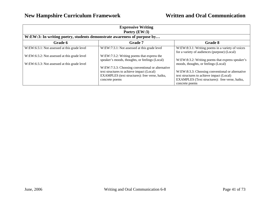| <b>Expressive Writing</b><br>Poetry $(EW:3)$                            |                                                                                                                                                                   |                                                                                                                                                                                                           |
|-------------------------------------------------------------------------|-------------------------------------------------------------------------------------------------------------------------------------------------------------------|-----------------------------------------------------------------------------------------------------------------------------------------------------------------------------------------------------------|
| W:EW:3: In writing poetry, students demonstrate awareness of purpose by |                                                                                                                                                                   |                                                                                                                                                                                                           |
| Grade 6                                                                 | <b>Grade 7</b>                                                                                                                                                    | Grade 8                                                                                                                                                                                                   |
| W:EW:6:3.1: Not assessed at this grade level                            | W:EW:7:3.1: Not assessed at this grade level                                                                                                                      | W:EW:8:3.1: Writing poems in a variety of voices<br>for a variety of audiences (purpose) (Local)                                                                                                          |
| W:EW:6:3.2: Not assessed at this grade level                            | W:EW:7:3.2: Writing poems that express the<br>speaker's moods, thoughts, or feelings (Local)                                                                      | W:EW:8:3.2: Writing poems that express speaker's                                                                                                                                                          |
| W:EW:6:3.3: Not assessed at this grade level                            | W:EW:7:3.3: Choosing conventional or alternative<br>text structures to achieve impact (Local)<br>EXAMPLES (text structures): free verse, haiku,<br>concrete poems | moods, thoughts, or feelings (Local)<br>W:EW:8:3.3: Choosing conventional or alternative<br>text structures to achieve impact (Local)<br>EXAMPLES (Text structures): free verse, haiku,<br>concrete poems |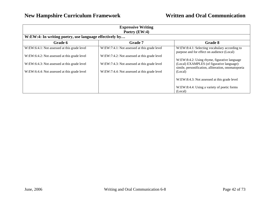| <b>Expressive Writing</b><br>Poetry $(EW:4)$           |                                              |                                                                                                   |
|--------------------------------------------------------|----------------------------------------------|---------------------------------------------------------------------------------------------------|
| W:EW:4: In writing poetry, use language effectively by |                                              |                                                                                                   |
| Grade 6                                                | <b>Grade 7</b>                               | Grade 8                                                                                           |
| W:EW:6:4.1: Not assessed at this grade level           | W:EW:7:4.1: Not assessed at this grade level | W:EW:8:4.1: Selecting vocabulary according to<br>purpose and for effect on audience (Local)       |
| W:EW:6:4.2: Not assessed at this grade level           | W:EW:7:4.2: Not assessed at this grade level | W:EW:8:4.2: Using rhyme, figurative language                                                      |
| W:EW:6:4.3: Not assessed at this grade level           | W:EW:7:4.3: Not assessed at this grade level | (Local) EXAMPLES (of figurative language):<br>simile, personification, alliteration, onomatopoeia |
| W:EW:6:4.4: Not assessed at this grade level           | W:EW:7:4.4: Not assessed at this grade level | (Local)                                                                                           |
|                                                        |                                              | W:EW:8:4.3: Not assessed at this grade level                                                      |
|                                                        |                                              | W:EW:8:4.4: Using a variety of poetic forms<br>(Local)                                            |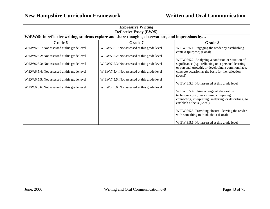| <b>Expressive Writing</b><br><b>Reflective Essay (EW:5)</b> |                                                                                                      |                                                                                                                                                                              |
|-------------------------------------------------------------|------------------------------------------------------------------------------------------------------|------------------------------------------------------------------------------------------------------------------------------------------------------------------------------|
|                                                             | W:EW:5: In reflective writing, students explore and share thoughts, observations, and impressions by |                                                                                                                                                                              |
| Grade 6                                                     | Grade 7                                                                                              | Grade 8                                                                                                                                                                      |
| W:EW:6:5.1: Not assessed at this grade level                | W:EW:7:5.1: Not assessed at this grade level                                                         | W:EW:8:5.1: Engaging the reader by establishing<br>context (purpose) (Local)                                                                                                 |
| W:EW:6:5.2: Not assessed at this grade level                | W:EW:7:5.2: Not assessed at this grade level                                                         | W:EW:8:5.2: Analyzing a condition or situation of                                                                                                                            |
| W:EW:6:5.3: Not assessed at this grade level                | W:EW:7:5.3: Not assessed at this grade level                                                         | significance (e.g., reflecting on a personal learning<br>or personal growth), or developing a commonplace,                                                                   |
| W:EW:6:5.4: Not assessed at this grade level                | W:EW:7:5.4: Not assessed at this grade level                                                         | concrete occasion as the basis for the reflection<br>(Local)                                                                                                                 |
| W:EW:6:5.5: Not assessed at this grade level                | W:EW:7:5.5: Not assessed at this grade level                                                         | W:EW:8:5.3: Not assessed at this grade level                                                                                                                                 |
| W:EW:6:5.6: Not assessed at this grade level                | W:EW:7:5.6: Not assessed at this grade level                                                         |                                                                                                                                                                              |
|                                                             |                                                                                                      | W:EW:8:5.4: Using a range of elaboration<br>techniques (i.e., questioning, comparing,<br>connecting, interpreting, analyzing, or describing) to<br>establish a focus (Local) |
|                                                             |                                                                                                      | W:EW:8:5.5: Providing closure - leaving the reader<br>with something to think about (Local)                                                                                  |
|                                                             |                                                                                                      | W:EW:8:5.6: Not assessed at this grade level                                                                                                                                 |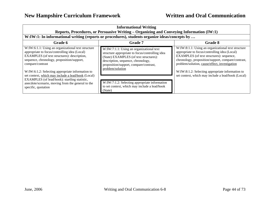| <b>Informational Writing</b><br>Reports, Procedures, or Persuasive Writing – Organizing and Conveying Information (IW:1)                                                                                                                                                                   |                                                                                                                                                                                                                                                                                                                                                                  |  |
|--------------------------------------------------------------------------------------------------------------------------------------------------------------------------------------------------------------------------------------------------------------------------------------------|------------------------------------------------------------------------------------------------------------------------------------------------------------------------------------------------------------------------------------------------------------------------------------------------------------------------------------------------------------------|--|
|                                                                                                                                                                                                                                                                                            |                                                                                                                                                                                                                                                                                                                                                                  |  |
| <b>Grade 7</b>                                                                                                                                                                                                                                                                             | Grade 8                                                                                                                                                                                                                                                                                                                                                          |  |
| W:IW:7:1.1: Using an organizational text<br>structure appropriate to focus/controlling idea<br>(State) EXAMPLES (of text structures):<br>description, sequence, chronology,<br>proposition/support, compare/contrast,<br>problem/solution<br>W:IW:7:1.2: Selecting appropriate information | W:IW:8:1.1: Using an organizational text structure<br>appropriate to focus/controlling idea (Local)<br>EXAMPLES (of text structures): sequence,<br>chronology, proposition/support, compare/contrast,<br>problem/solution, cause/effect, investigation<br>W:IW:8:1.2: Selecting appropriate information to<br>set context, which may include a lead/hook (Local) |  |
|                                                                                                                                                                                                                                                                                            | W:IW:1: In informational writing (reports or procedures), students organize ideas/concepts by<br>to set context, which may include a lead/hook<br>(State)                                                                                                                                                                                                        |  |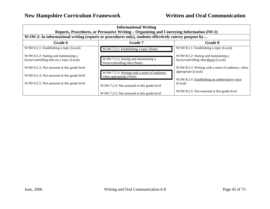| <b>Informational Writing</b><br>Reports, Procedures, or Persuasive Writing – Organizing and Conveying Information (IW:2)<br>W:IW:2: In informational writing (reports or procedures only), students effectively convey purpose by |                                                                           |                                                                                |
|-----------------------------------------------------------------------------------------------------------------------------------------------------------------------------------------------------------------------------------|---------------------------------------------------------------------------|--------------------------------------------------------------------------------|
| <b>Grade 7</b><br>Grade 6<br>Grade 8                                                                                                                                                                                              |                                                                           |                                                                                |
| W:IW:6:2.1: Establishing a topic (Local)                                                                                                                                                                                          | W:IW:7:2.1: Establishing a topic (State)                                  | W:IW:8:2.1: Establishing a topic (Local)                                       |
| W:IW:6:2.2: Stating and maintaining a<br>focus/controlling idea on a topic (Local)                                                                                                                                                | W:IW:7:2.2: Stating and maintaining a<br>focus/controlling idea (State)   | W:IW:8:2.2: Stating and maintaining a<br>focus/controlling idea/thesis (Local) |
| W:IW:6:2.3: Not assessed at this grade level                                                                                                                                                                                      |                                                                           | W:IW:8:2.3: Writing with a sense of audience, when                             |
| W:IW:6:2.4: Not assessed at this grade level                                                                                                                                                                                      | W:IW:7:2.3: Writing with a sense of audience,<br>when appropriate (State) | appropriate (Local)<br>W:IW:8:2.4: Establishing an authoritative voice         |
| W:IW:6:2.5: Not assessed at this grade level                                                                                                                                                                                      | W:IW:7:2.4: Not assessed at this grade level                              | (Local)                                                                        |
|                                                                                                                                                                                                                                   | W:IW:7:2.5: Not assessed at this grade level                              | W:IW:8:2.5: Not assessed at this grade level                                   |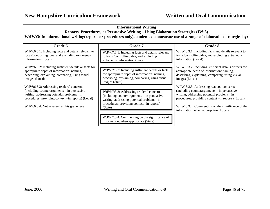| <b>Informational Writing</b><br>Reports, Procedures, or Persuasive Writing – Using Elaboration Strategies (IW:3)<br>W:IW:3: In informational writing(reports or procedures only), students demonstrate use of a range of elaboration strategies by: |                                                                                                                                                                                                |                                                                                                                                                                                                                                                                                           |
|-----------------------------------------------------------------------------------------------------------------------------------------------------------------------------------------------------------------------------------------------------|------------------------------------------------------------------------------------------------------------------------------------------------------------------------------------------------|-------------------------------------------------------------------------------------------------------------------------------------------------------------------------------------------------------------------------------------------------------------------------------------------|
|                                                                                                                                                                                                                                                     |                                                                                                                                                                                                |                                                                                                                                                                                                                                                                                           |
| W:IW:6:3.1: Including facts and details relevant to<br>focus/controlling idea, and excluding extraneous<br>information (Local)                                                                                                                      | W:IW:7:3.1: Including facts and details relevant<br>to focus/controlling idea, and excluding<br>extraneous information (State)                                                                 | W:IW:8:3.1: Including facts and details relevant to<br>focus/controlling idea, and excluding extraneous<br>information (Local)                                                                                                                                                            |
| W:IW:6:3.2: Including sufficient details or facts for<br>appropriate depth of information: naming,<br>describing, explaining, comparing, using visual<br>images (Local)                                                                             | W:IW:7:3.2: Including sufficient details or facts<br>for appropriate depth of information: naming,<br>describing, explaining, comparing, using visual<br>images (State)                        | W:IW:8:3.2: Including sufficient details or facts for<br>appropriate depth of information: naming,<br>describing, explaining, comparing, using visual<br>images (Local)                                                                                                                   |
| W:IW:6:3.3: Addressing readers' concerns<br><u>(including counterarguments – in persuasive</u><br>writing; addressing potential problems -in<br>procedures; providing context -in reports) (Local)<br>W:IW:6:3.4: Not assessed at this grade level  | W:IW:7:3.3: Addressing readers' concerns<br>(including counterarguments – in persuasive<br>writing; addressing potential problems -in<br>procedures; providing context -in reports)<br>(State) | W:IW:8:3.3: Addressing readers' concerns<br>(including counterarguments – in persuasive<br>writing; addressing potential problems -in<br>procedures; providing context -in reports) (Local)<br>W:IW:8:3.4: Commenting on the significance of the<br>information, when appropriate (Local) |
|                                                                                                                                                                                                                                                     | W:IW:7:3.4: Commenting on the significance of<br>information, when appropriate (State)                                                                                                         |                                                                                                                                                                                                                                                                                           |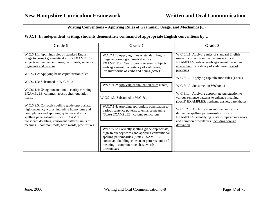| Writing Conventions - Applying Rules of Grammar, Usage, and Mechanics (C)<br>W:C:1: In independent writing, students demonstrate command of appropriate English conventions by                                                                                                                       |                                                                                                                                                                                                                                                            |                                                                                                                                                                                                                                                              |
|------------------------------------------------------------------------------------------------------------------------------------------------------------------------------------------------------------------------------------------------------------------------------------------------------|------------------------------------------------------------------------------------------------------------------------------------------------------------------------------------------------------------------------------------------------------------|--------------------------------------------------------------------------------------------------------------------------------------------------------------------------------------------------------------------------------------------------------------|
|                                                                                                                                                                                                                                                                                                      |                                                                                                                                                                                                                                                            |                                                                                                                                                                                                                                                              |
| W:C:6:1.1: Applying rules of standard English<br>usage to correct grammatical errors EXAMPLES:<br>subject-verb agreement, irregular plurals, sentence<br>fragments and run-ons<br>W:C:6:1.2: Applying basic capitalization rules                                                                     | W:C:7:1.1: Applying rules of standard English<br>usage to correct grammatical errors<br>EXAMPLES: Clear pronoun referent, subject-<br>verb agreement, consistency of verb tense.<br>irregular forms of verbs and nouns (State)                             | W:C:8:1.1: Applying rules of standard English<br>usage to correct grammatical errors (Local)<br>EXAMPLES: subject-verb agreement, pronoun-<br>antecedent, consistency of verb tense, case of<br>pronouns<br>W:C:8:1.2: Applying capitalization rules (Local) |
| $W:C:6:1.3$ : Subsumed in $W:C:6:1.4$<br>W:C:6:1.4: Using punctuation to clarify meaning                                                                                                                                                                                                             | W:C:7:1.2: Applying capitalization rules (State)                                                                                                                                                                                                           | W:C:8:1.3: Subsumed in W:C:8:1.4                                                                                                                                                                                                                             |
| EXAMPLES: commas, apostrophes, quotation<br>marks                                                                                                                                                                                                                                                    | $W:C:7:1.3$ : Subsumed in $W:C:7:1.4$                                                                                                                                                                                                                      | W:C:8:1.4: Applying appropriate punctuation to<br>various sentence patterns to enhance meaning<br>(Local) EXAMPLES: hyphens, dashes, parentheses                                                                                                             |
| W:C:6:2.5: Correctly spelling grade-appropriate,<br>high-frequency words, including homonyms and<br>homophones and applying syllables and affix<br>spelling patterns/rules (Local) EXAMPLES:<br>consonant doubling, consonant patterns, units of<br>meaning - common roots, base words, pre/suffixes | W:C:7:1.4: Applying appropriate punctuation to<br>various sentence patterns to enhance meaning<br>(State) EXAMPLES: colons, semicolons                                                                                                                     | W:C:8:2.5: Applying conventional and word-<br>derivative spelling patterns/rules (Local)<br>EXAMPLES: identifying relationships among roots<br>and common pre/suffixes, including foreign<br>derivation                                                      |
|                                                                                                                                                                                                                                                                                                      | W:C:7:2.5: Correctly spelling grade-appropriate,<br>high-frequency words and applying conventional<br>spelling patterns/rules (State) EXAMPLES:<br>consonant doubling, consonant patterns, units of<br>meaning – common roots, base words,<br>pre/suffixes |                                                                                                                                                                                                                                                              |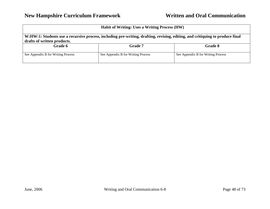| <b>Habit of Writing: Uses a Writing Process (HW)</b>                                                                                                         |                                    |                                    |
|--------------------------------------------------------------------------------------------------------------------------------------------------------------|------------------------------------|------------------------------------|
| W:HW:1: Students use a recursive process, including pre-writing, drafting, revising, editing, and critiquing to produce final<br>drafts of written products. |                                    |                                    |
| Grade 6                                                                                                                                                      | <b>Grade 7</b>                     | Grade 8                            |
| See Appendix B for Writing Process                                                                                                                           | See Appendix B for Writing Process | See Appendix B for Writing Process |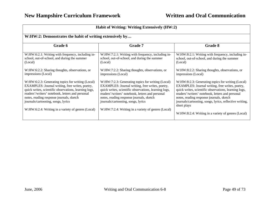| Habit of Writing: Writing Extensively (HW:2)                                                                                                                                                                                                                                                                                                              |                                                                                                                                                                                                                                                                                                                                                           |                                                                                                                                                                                                                                                                                                                                                                                               |  |
|-----------------------------------------------------------------------------------------------------------------------------------------------------------------------------------------------------------------------------------------------------------------------------------------------------------------------------------------------------------|-----------------------------------------------------------------------------------------------------------------------------------------------------------------------------------------------------------------------------------------------------------------------------------------------------------------------------------------------------------|-----------------------------------------------------------------------------------------------------------------------------------------------------------------------------------------------------------------------------------------------------------------------------------------------------------------------------------------------------------------------------------------------|--|
| W:HW:2: Demonstrates the habit of writing extensively by                                                                                                                                                                                                                                                                                                  |                                                                                                                                                                                                                                                                                                                                                           |                                                                                                                                                                                                                                                                                                                                                                                               |  |
| Grade 6                                                                                                                                                                                                                                                                                                                                                   | <b>Grade 7</b>                                                                                                                                                                                                                                                                                                                                            | Grade 8                                                                                                                                                                                                                                                                                                                                                                                       |  |
| W:HW:6:2.1: Writing with frequency, including in-<br>school, out-of-school, and during the summer<br>(Local)                                                                                                                                                                                                                                              | W:HW:7:2.1: Writing with frequency, including in-<br>school, out-of-school, and during the summer<br>(Local)                                                                                                                                                                                                                                              | W:HW:8:2.1: Writing with frequency, including in-<br>school, out-of-school, and during the summer<br>(Local)                                                                                                                                                                                                                                                                                  |  |
| W:HW:6:2.2: Sharing thoughts, observations, or<br>impressions (Local)                                                                                                                                                                                                                                                                                     | W:HW:7:2.2: Sharing thoughts, observations, or<br>impressions (Local)                                                                                                                                                                                                                                                                                     | W:HW:8:2.2: Sharing thoughts, observations, or<br>impressions (Local)                                                                                                                                                                                                                                                                                                                         |  |
| W:HW:6:2.3: Generating topics for writing (Local)<br>EXAMPLES: Journal writing, free writes, poetry,<br>quick writes, scientific observations, learning logs,<br>readers'/writers' notebook, letters and personal<br>notes, reading response journals, sketch<br>journals/cartooning, songs, lyrics<br>W:HW:6:2.4: Writing in a variety of genres (Local) | W:HW:7:2.3: Generating topics for writing (Local)<br>EXAMPLES: Journal writing, free writes, poetry,<br>quick writes, scientific observations, learning logs,<br>readers'/writers' notebook, letters and personal<br>notes, reading response journals, sketch<br>journals/cartooning, songs, lyrics<br>W:HW:7:2.4: Writing in a variety of genres (Local) | W:HW:8:2.3: Generating topics for writing (Local)<br>EXAMPLES: Journal writing, free writes, poetry,<br>quick writes, scientific observations, learning logs,<br>readers'/writers' notebook, letters and personal<br>notes, reading response journals, sketch<br>journals/cartooning, songs, lyrics, reflective writing,<br>short plays<br>W:HW:8:2.4: Writing in a variety of genres (Local) |  |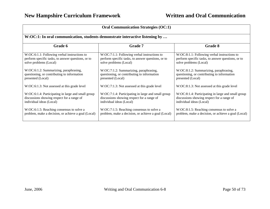| <b>Oral Communication Strategies (OC:1)</b>                                  |                                                     |                                                     |
|------------------------------------------------------------------------------|-----------------------------------------------------|-----------------------------------------------------|
| W:OC:1: In oral communication, students demonstrate interactive listening by |                                                     |                                                     |
| Grade 6                                                                      | <b>Grade 7</b>                                      | Grade 8                                             |
| W:OC:6:1.1: Following verbal instructions to                                 | W:OC:7:1.1: Following verbal instructions to        | W:OC:8:1.1: Following verbal instructions to        |
| perform specific tasks, to answer questions, or to                           | perform specific tasks, to answer questions, or to  | perform specific tasks, to answer questions, or to  |
| solve problems (Local)                                                       | solve problems (Local)                              | solve problems (Local)                              |
| W:OC:6:1.2: Summarizing, paraphrasing,                                       | W:OC:7:1.2: Summarizing, paraphrasing,              | W:OC:8:1.2: Summarizing, paraphrasing,              |
| questioning, or contributing to information                                  | questioning, or contributing to information         | questioning, or contributing to information         |
| presented (Local)                                                            | presented (Local)                                   | presented (Local)                                   |
| W:OC:6:1.3: Not assessed at this grade level                                 | W:OC:7:1.3: Not assessed at this grade level        | W:OC:8:1.3: Not assessed at this grade level        |
| W:OC:6:1.4: Participating in large and small group                           | W:OC:7:1.4: Participating in large and small group  | W:OC:8:1.4: Participating in large and small group  |
| discussions showing respect for a range of                                   | discussions showing respect for a range of          | discussions showing respect for a range of          |
| individual ideas (Local)                                                     | individual ideas (Local)                            | individual ideas (Local)                            |
| W:OC:6:1.5: Reaching consensus to solve a                                    | W:OC:7:1.5: Reaching consensus to solve a           | W:OC:8:1.5: Reaching consensus to solve a           |
| problem, make a decision, or achieve a goal (Local)                          | problem, make a decision, or achieve a goal (Local) | problem, make a decision, or achieve a goal (Local) |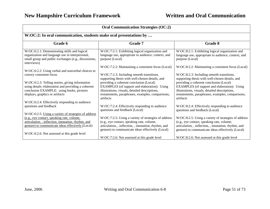| <b>Oral Communication Strategies (OC:2)</b>                                                                                                                                                                    |                                                                                                                                                                                                                  |                                                                                                                                                                                                                  |
|----------------------------------------------------------------------------------------------------------------------------------------------------------------------------------------------------------------|------------------------------------------------------------------------------------------------------------------------------------------------------------------------------------------------------------------|------------------------------------------------------------------------------------------------------------------------------------------------------------------------------------------------------------------|
| W:OC:2: In oral communication, students make oral presentations by                                                                                                                                             |                                                                                                                                                                                                                  |                                                                                                                                                                                                                  |
| Grade 6                                                                                                                                                                                                        | <b>Grade 7</b>                                                                                                                                                                                                   | <b>Grade 8</b>                                                                                                                                                                                                   |
| W:OC:6:2.1: Demonstrating skills and logical<br>organization and language use in interpersonal,<br>small group and public exchanges (e.g., discussions,<br>interviews)                                         | W:OC:7:2.1: Exhibiting logical organization and<br>language use, appropriate to audience, context, and<br>purpose (Local)                                                                                        | W:OC:8:2.1: Exhibiting logical organization and<br>language use, appropriate to audience, context, and<br>purpose (Local)                                                                                        |
| W:OC:6:2.2: Using verbal and nonverbal choices to                                                                                                                                                              | W:OC:7:2.2: Maintaining a consistent focus (Local)                                                                                                                                                               | W:OC:8:2.2: Maintaining a consistent focus (Local)                                                                                                                                                               |
| convey consistent focus                                                                                                                                                                                        | W:OC:7:2.3: Including smooth transitions,<br>supporting thesis with well-chosen details, and                                                                                                                     | W:OC:8:2.3: Including smooth transitions,<br>supporting thesis with well-chosen details, and                                                                                                                     |
| W:OC:6:2.3: Telling stories, giving information<br>using details /elaboration and providing a coherent<br>conclusion EXAMPLE: using books, pictures<br>displays, graphics or artifacts                         | providing a coherent conclusion (Local)<br>EXAMPLES (of support and elaboration): Using<br>illustrations, visuals, detailed descriptions,<br>restatements, paraphrases, examples, comparisons,<br>artifacts      | providing a coherent conclusion (Local)<br>EXAMPLES (of support and elaboration): Using<br>illustrations, visuals, detailed descriptions,<br>restatements, paraphrases, examples, comparisons,<br>artifacts      |
| W:OC:6:2.4: Effectively responding to audience                                                                                                                                                                 |                                                                                                                                                                                                                  |                                                                                                                                                                                                                  |
| questions and feedback                                                                                                                                                                                         | W:OC:7:2.4: Effectively responding to audience<br>questions and feedback (Local)                                                                                                                                 | W:OC:8:2.4: Effectively responding to audience<br>questions and feedback (Local)                                                                                                                                 |
| W:OC:6:2.5: Using a variety of strategies of address<br>(e.g., eye contact, speaking rate, volume,<br>articulation, , inflection, intonation, rhythm, and<br>gesture) to communicate ideas effectively (Local) | W:OC:7:2.5: Using a variety of strategies of address<br>(e.g., eye contact, speaking rate, volume,<br>articulation, , inflection, , intonation, rhythm, and<br>gesture) to communicate ideas effectively (Local) | W:OC:8:2.5: Using a variety of strategies of address<br>(e.g., eye contact, speaking rate, volume,<br>articulation, , inflection, , intonation, rhythm, and<br>gesture) to communicate ideas effectively (Local) |
| W:OC:6:2.6: Not assessed at this grade level                                                                                                                                                                   | W:OC:7:2.6: Not assessed at this grade level                                                                                                                                                                     | W:OC:8:2.6: Not assessed at this grade level                                                                                                                                                                     |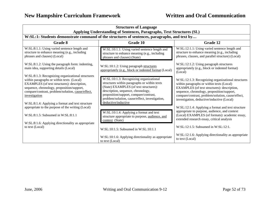| <b>Structures of Language</b><br>Applying Understanding of Sentences, Paragraphs, Text Structures (SL)                                                                                                                                                                                                                |                                                                                                                                                                                                                                                                                            |                                                                                                                                                                                                                                                                                                 |
|-----------------------------------------------------------------------------------------------------------------------------------------------------------------------------------------------------------------------------------------------------------------------------------------------------------------------|--------------------------------------------------------------------------------------------------------------------------------------------------------------------------------------------------------------------------------------------------------------------------------------------|-------------------------------------------------------------------------------------------------------------------------------------------------------------------------------------------------------------------------------------------------------------------------------------------------|
| W:SL:1: Students demonstrate command of the structures of sentences, paragraphs, and text by                                                                                                                                                                                                                          |                                                                                                                                                                                                                                                                                            |                                                                                                                                                                                                                                                                                                 |
| Grade 8                                                                                                                                                                                                                                                                                                               | <b>Grade 10</b>                                                                                                                                                                                                                                                                            | Grade 12                                                                                                                                                                                                                                                                                        |
| W:SL:8:1.1: Using varied sentence length and<br>structure to enhance meaning (e.g., including<br>phrases and clauses) (Local)                                                                                                                                                                                         | W:SL:10:1.1: Using varied sentence length and<br>structure to enhance meaning (e.g., including<br>phrases and clauses) (State)                                                                                                                                                             | W:SL:12:1.1: Using varied sentence length and<br>structure to enhance meaning (e.g., including<br>phrases, clauses, and parallel structure) (Local)                                                                                                                                             |
| W:SL:8:1.2: Using the paragraph form: indenting,<br>main idea, supporting details (Local)                                                                                                                                                                                                                             | W:SL:10:1.2: Using paragraph structures<br>appropriately (e.g., block or indented format (Local)                                                                                                                                                                                           | W:SL:12:1.2: Using paragraph structures<br>appropriately (e.g., block or indented format)<br>(Local)                                                                                                                                                                                            |
| W:SL:8:1.3: Recognizing organizational structures<br>within paragraphs or within texts (Local)<br>EXAMPLES (of text structures): description,<br>sequence, chronology, proposition/support,<br>compare/contrast, problem/solution, cause/effect,<br>investigation<br>W:SL:8:1.4: Applying a format and text structure | W:SL:10:1.3: Recognizing organizational<br>structures within paragraphs or within texts<br>(State) EXAMPLES (of text structures):<br>description, sequence, chronology,<br>proposition/support, compare/contrast,<br>problem/solution, cause/effect, investigation,<br>deductive/inductive | W:SL:12:1.3: Recognizing organizational structures<br>within paragraphs or within texts (Local)<br>EXAMPLES (of text structures): description,<br>sequence, chronology, proposition/support,<br>compare/contrast, problem/solution, cause/effect,<br>investigation, deductive/inductive (Local) |
| appropriate to the purpose of the writing (Local)<br>$W: SL: 8:1.5$ : Subsumed in $W: SL: 8:1.1$<br>W:SL:8:1.6: Applying directionality as appropriate                                                                                                                                                                | W:SL:10:1.4: Applying a format and text<br>structure appropriate to purpose, audience, and<br>context (State)                                                                                                                                                                              | W:SL:12:1.4: Applying a format and text structure<br>appropriate to purpose, audience, and context<br>(Local) EXAMPLES (of formats): academic essay,<br>extended research essay, critical analysis                                                                                              |
| to text (Local)                                                                                                                                                                                                                                                                                                       | W:SL:10:1.5: Subsumed in W:SL:10:1.1                                                                                                                                                                                                                                                       | $W: SL: 12:1.5$ : Subsumed in $W: SL: 12:1$ .                                                                                                                                                                                                                                                   |
|                                                                                                                                                                                                                                                                                                                       | W:SL:10:1.6: Applying directionality as appropriate<br>to text (Local)                                                                                                                                                                                                                     | W:SL:12:1.6: Applying directionality as appropriate<br>to text (Local)                                                                                                                                                                                                                          |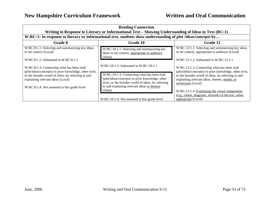| <b>Reading Connection</b><br>Writing in Response to Literary or Informational Text – Showing Understanding of Ideas in Text (RC:1)                                                                                                             |                                                                                                                                                                                                                                                           |                                                                                                                                                                                                                                                                                    |
|------------------------------------------------------------------------------------------------------------------------------------------------------------------------------------------------------------------------------------------------|-----------------------------------------------------------------------------------------------------------------------------------------------------------------------------------------------------------------------------------------------------------|------------------------------------------------------------------------------------------------------------------------------------------------------------------------------------------------------------------------------------------------------------------------------------|
|                                                                                                                                                                                                                                                | W:RC:1: In response to literary or informational text, students show understanding of plot /ideas/concepts by                                                                                                                                             |                                                                                                                                                                                                                                                                                    |
| Grade 8                                                                                                                                                                                                                                        | Grade 10                                                                                                                                                                                                                                                  | Grade 12                                                                                                                                                                                                                                                                           |
| W:RC:8:1.1: Selecting and summarizing key ideas<br>to set context (Local)<br>$W:RC:8:1.2$ : Subsumed in $W:RC:8:1.1$                                                                                                                           | W:RC:10:1.1: Selecting and summarizing key<br>ideas to set context, appropriate to audience<br>(State)                                                                                                                                                    | W:RC:12:1.1: Selecting and summarizing key ideas<br>to set context, appropriate to audience (Local)<br>W:RC:12:1.2: Subsumed in W:RC:12:1.1                                                                                                                                        |
| W:RC:8:1.3: Connecting what has been read<br>(plot/ideas/concepts) to prior knowledge, other texts,<br>or the broader world of ideas, by referring to and<br>explaining relevant ideas (Local)<br>W:RC:8:1.4: Not assessed at this grade level | $W:RC:10:1.2$ : Subsumed in $W:RC:10:1.1$<br>W:RC:10:1.3: Connecting what has been read<br>(plot/ideas/concepts) to prior knowledge, other<br>texts, or the broader world of ideas, by referring<br>to and explaining relevant ideas or themes<br>(State) | W:RC:12:1.3: Connecting what has been read<br>(plot/ideas/concepts) to prior knowledge, other texts,<br>or the broader world of ideas, by referring to and<br>explaining relevant ideas, themes, motifs, or<br>archetypes (Local)<br>W:RC:12:1.4: Explaining the visual components |
|                                                                                                                                                                                                                                                | W:RC:10:1.4: Not assessed at this grade level                                                                                                                                                                                                             | (e.g., charts, diagrams, artwork) of the text, when<br>appropriate (Local)                                                                                                                                                                                                         |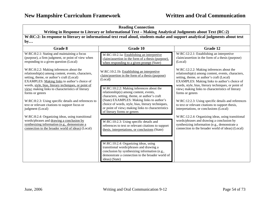| <b>Reading Connection</b><br>Writing in Response to Literary or Informational Text – Making Analytical Judgments about Text (RC:2)                                                                                                                 |                                                                                                                                                                                                         |                                                                                                                                                                                                                                                     |
|----------------------------------------------------------------------------------------------------------------------------------------------------------------------------------------------------------------------------------------------------|---------------------------------------------------------------------------------------------------------------------------------------------------------------------------------------------------------|-----------------------------------------------------------------------------------------------------------------------------------------------------------------------------------------------------------------------------------------------------|
| W:RC:2: In response to literary or informational text read aloud, students make and support analytical judgments about text                                                                                                                        |                                                                                                                                                                                                         |                                                                                                                                                                                                                                                     |
| by                                                                                                                                                                                                                                                 |                                                                                                                                                                                                         |                                                                                                                                                                                                                                                     |
| Grade 8                                                                                                                                                                                                                                            | <b>Grade 10</b>                                                                                                                                                                                         | Grade 12                                                                                                                                                                                                                                            |
| W:RC:8:2.1: Stating and maintaining a focus<br>(purpose), a firm judgment, or point of view when<br>responding to a given question (Local)                                                                                                         | W:RC:10:2.1a: Establishing an interpretive<br>claim/assertion in the form of a thesis (purpose),<br>when responding to a given prompt (State)                                                           | W:RC:12:2.1: Establishing an interpretive<br>claim/assertion in the form of a thesis (purpose)<br>(Local)                                                                                                                                           |
| W:RC:8:2.2: Making inferences about the<br>relationship(s) among content, events, characters,<br>setting, theme, or author's craft (Local)<br>EXAMPLES: Making links to author's choice of<br>words, style, bias, literary techniques, or point of | W:RC:10:2.1b: Establishing an interpretive<br>claim/assertion in the form of a thesis (purpose)<br>(Local)                                                                                              | W:RC:12:2.2: Making inferences about the<br>relationship(s) among content, events, characters,<br>setting, theme, or author's craft (Local)<br>EXAMPLES: Making links to author's choice of<br>words, style, bias, literary techniques, or point of |
| view; making links to characteristics of literary<br>forms or genres                                                                                                                                                                               | W:RC:10:2.2: Making inferences about the<br>relationship(s) among content, events,<br>characters, setting, theme, or author's craft                                                                     | view; making links to characteristics of literary<br>forms or genres                                                                                                                                                                                |
| W:RC:8:2.3: Using specific details and references to<br>text or relevant citations to support focus or<br>judgment (Local)                                                                                                                         | (State) EXAMPLES: Making links to author's<br>choice of words, style, bias, literary techniques,<br>or point of view; making links to characteristics<br>of literary forms or genres                    | W:RC:12:2.3: Using specific details and references<br>to text or relevant citations to support thesis,<br>interpretations, or conclusions (Local)                                                                                                   |
| W:RC:8:2.4: Organizing ideas, using transitional<br>words/phrases and drawing a conclusion by<br>synthesizing information (e.g., demonstrate a<br>connection to the broader world of ideas) (Local)                                                | W:RC:10:2.3: Using specific details and<br>references to text or relevant citations to support<br>thesis, interpretations, or conclusions (State)                                                       | W:RC:12:2.4: Organizing ideas, using transitional<br>words/phrases and drawing a conclusion by<br>synthesizing information (e.g., demonstrate a<br>connection to the broader world of ideas) (Local)                                                |
|                                                                                                                                                                                                                                                    | W:RC:10:2.4: Organizing ideas, using<br>transitional words/phrases and drawing a<br>conclusion by synthesizing information (e.g.,<br>demonstrate a connection to the broader world of<br>ideas) (State) |                                                                                                                                                                                                                                                     |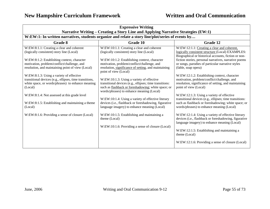| <b>Expressive Writing</b><br>Narrative Writing – Creating a Story Line and Applying Narrative Strategies (EW:1)                                                                                                                                                                                                                                                                                                                                                                           |                                                                                                                                                                                                                                                                                                                                                                                                                                                                                                                                                                                                                                                                              |                                                                                                                                                                                                                                                                                                                                                                                                                                                                                                                                                                                                                                                                                                                                                                                                                   |
|-------------------------------------------------------------------------------------------------------------------------------------------------------------------------------------------------------------------------------------------------------------------------------------------------------------------------------------------------------------------------------------------------------------------------------------------------------------------------------------------|------------------------------------------------------------------------------------------------------------------------------------------------------------------------------------------------------------------------------------------------------------------------------------------------------------------------------------------------------------------------------------------------------------------------------------------------------------------------------------------------------------------------------------------------------------------------------------------------------------------------------------------------------------------------------|-------------------------------------------------------------------------------------------------------------------------------------------------------------------------------------------------------------------------------------------------------------------------------------------------------------------------------------------------------------------------------------------------------------------------------------------------------------------------------------------------------------------------------------------------------------------------------------------------------------------------------------------------------------------------------------------------------------------------------------------------------------------------------------------------------------------|
| W:EW:1: In written narratives, students organize and relate a story line/plot/series of events by                                                                                                                                                                                                                                                                                                                                                                                         |                                                                                                                                                                                                                                                                                                                                                                                                                                                                                                                                                                                                                                                                              |                                                                                                                                                                                                                                                                                                                                                                                                                                                                                                                                                                                                                                                                                                                                                                                                                   |
| Grade 8                                                                                                                                                                                                                                                                                                                                                                                                                                                                                   | Grade 10                                                                                                                                                                                                                                                                                                                                                                                                                                                                                                                                                                                                                                                                     | Grade 12                                                                                                                                                                                                                                                                                                                                                                                                                                                                                                                                                                                                                                                                                                                                                                                                          |
| W:EW:8:1.1: Creating a clear and coherent<br>(logically consistent) story line (Local)                                                                                                                                                                                                                                                                                                                                                                                                    | W:EW:10:1.1: Creating a clear and coherent<br>(logically consistent) story line (Local)                                                                                                                                                                                                                                                                                                                                                                                                                                                                                                                                                                                      | W:EW:12:1.1: Creating a clear and coherent,<br>logically consistent structure (Local) EXAMPLES:<br>Biographical or historical accounts, fiction or non-                                                                                                                                                                                                                                                                                                                                                                                                                                                                                                                                                                                                                                                           |
| W:EW:8:1.2: Establishing context, character<br>motivation, problem/conflict/challenge, and<br>resolution, and maintaining point of view (Local)<br>W:EW:8:1.3: Using a variety of effective<br>transitional devices (e.g., ellipses, time transitions,<br>white space, or words/phrases) to enhance meaning<br>(Local)<br>W:EW:8:1.4: Not assessed at this grade level<br>W:EW:8:1.5: Establishing and maintaining a theme<br>(Local)<br>W:EW:8:1.6: Providing a sense of closure (Local) | W:EW:10:1.2: Establishing context, character<br>motivation, problem/conflict/challenge, and<br>resolution, significance of setting, and maintaining<br>point of view (Local)<br>W:EW:10:1.3: Using a variety of effective<br>transitional devices (e.g., ellipses; time transitions:<br>such as flashback or foreshadowing; white space; or<br>words/phrases) to enhance meaning (Local)<br>W:EW:10:1.4: Using a variety of effective literary<br>devices (i.e., flashback or foreshadowing, figurative<br>language imagery) to enhance meaning (Local)<br>W:EW:10:1.5: Establishing and maintaining a<br>theme (Local)<br>W:EW:10:1.6: Providing a sense of closure (Local) | fiction stories, personal narratives, narrative poems<br>or songs, parodies of particular narrative styles<br>(fable, soap opera)<br>W:EW:12:1.2: Establishing context, character<br>motivation, problem/conflict/challenge, and<br>resolution, significance of setting, and maintaining<br>point of view (Local)<br>W:EW:12:1.3: Using a variety of effective<br>transitional devices (e.g., ellipses; time transitions:<br>such as flashback or foreshadowing; white space; or<br>words/phrases) to enhance meaning (Local)<br>W:EW:12:1.4: Using a variety of effective literary<br>devices (i.e., flashback or foreshadowing, figurative<br>language imagery) to enhance meaning (Local)<br>W:EW:12:1.5: Establishing and maintaining a<br>theme (Local)<br>W:EW:12:1.6: Providing a sense of closure (Local) |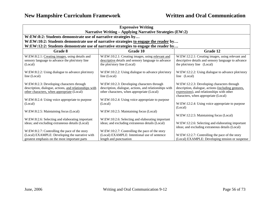| <b>Expressive Writing</b><br><b>Narrative Writing – Applying Narrative Strategies (EW:2)</b>                                                      |                                                                                                                                                    |                                                                                                                                                                                         |
|---------------------------------------------------------------------------------------------------------------------------------------------------|----------------------------------------------------------------------------------------------------------------------------------------------------|-----------------------------------------------------------------------------------------------------------------------------------------------------------------------------------------|
| W:EW:8:2: Students demonstrate use of narrative strategies by                                                                                     |                                                                                                                                                    |                                                                                                                                                                                         |
|                                                                                                                                                   | W:EW:10:2: Students demonstrate use of narrative strategies to engage the reader by                                                                |                                                                                                                                                                                         |
|                                                                                                                                                   | W:EW:12:2: Students demonstrate use of narrative strategies to engage the reader by                                                                |                                                                                                                                                                                         |
| Grade 8                                                                                                                                           | Grade 10                                                                                                                                           | Grade 12                                                                                                                                                                                |
| W:EW:8:2.1: Creating images, using details and<br>sensory language to advance the plot/story line<br>(Local)                                      | W:EW:10:2.1: Creating images, using relevant and<br>descriptive details and sensory language to advance<br>the plot/story line (Local)             | W:EW:12:2.1: Creating images, using relevant and<br>descriptive details and sensory language to advance<br>the plot/story line (Local)                                                  |
| W:EW:8:2.2: Using dialogue to advance plot/story<br>line (Local)                                                                                  | W:EW:10:2.2: Using dialogue to advance plot/story<br>line (Local)                                                                                  | W:EW:12:2.2: Using dialogue to advance plot/story<br>line (Local)                                                                                                                       |
| W:EW:8:2.3: Developing characters through<br>description, dialogue, actions, and relationships with<br>other characters, when appropriate (Local) | W:EW:10:2.3: Developing characters through<br>description, dialogue, actions, and relationships with<br>other characters, when appropriate (Local) | W:EW:12:2.3: Developing characters through<br>description, dialogue, actions (including gestures,<br>expressions), and relationships with other<br>characters, when appropriate (Local) |
| W:EW:8:2.4: Using voice appropriate to purpose<br>(Local)                                                                                         | W:EW:10:2.4: Using voice appropriate to purpose<br>(Local)                                                                                         | W:EW:12:2.4: Using voice appropriate to purpose<br>(Local)                                                                                                                              |
| W:EW:8:2.5: Maintaining focus (Local)                                                                                                             | W:EW:10:2.5: Maintaining focus (Local)                                                                                                             | W:EW:12:2.5: Maintaining focus (Local)                                                                                                                                                  |
| W:EW:8:2.6: Selecting and elaborating important<br>ideas; and excluding extraneous details (Local)                                                | W:EW:10:2.6: Selecting and elaborating important<br>ideas; and excluding extraneous details (Local)                                                | W:EW:12:2.6: Selecting and elaborating important<br>ideas; and excluding extraneous details (Local)                                                                                     |
| W:EW:8:2.7: Controlling the pace of the story<br>(Local) EXAMPLE: Developing the narrative with<br>greatest emphasis on the most important parts  | W:EW:10:2.7: Controlling the pace of the story<br>(Local) EXAMPLE: Intentional use of sentence<br>length and punctuation                           | W:EW:12:2.7: Controlling the pace of the story<br>(Local) EXAMPLE: Developing tension or suspense                                                                                       |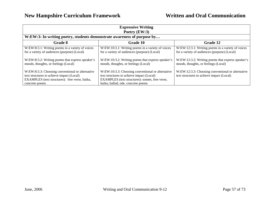| <b>Expressive Writing</b><br>Poetry (EW:3)                                                                                                                        |                                                                                                                                                                                         |                                                                                                   |
|-------------------------------------------------------------------------------------------------------------------------------------------------------------------|-----------------------------------------------------------------------------------------------------------------------------------------------------------------------------------------|---------------------------------------------------------------------------------------------------|
| W:EW:3: In writing poetry, students demonstrate awareness of purpose by                                                                                           |                                                                                                                                                                                         |                                                                                                   |
| Grade 8                                                                                                                                                           | <b>Grade 10</b>                                                                                                                                                                         | Grade 12                                                                                          |
| W:EW:8:3.1: Writing poems in a variety of voices<br>for a variety of audiences (purpose) (Local)                                                                  | W:EW:10:3.1: Writing poems in a variety of voices<br>for a variety of audiences (purpose) (Local)                                                                                       | W:EW:12:3.1: Writing poems in a variety of voices<br>for a variety of audiences (purpose) (Local) |
| W:EW:8:3.2: Writing poems that express speaker's<br>moods, thoughts, or feelings (Local)                                                                          | W:EW:10:3.2: Writing poems that express speaker's<br>moods, thoughts, or feelings (Local)                                                                                               | W:EW:12:3.2: Writing poems that express speaker's<br>moods, thoughts, or feelings (Local)         |
| W:EW:8:3.3: Choosing conventional or alternative<br>text structures to achieve impact (Local)<br>EXAMPLES (text structures): free verse, haiku,<br>concrete poems | W:EW:10:3.3: Choosing conventional or alternative<br>text structures to achieve impact (Local)<br>EXAMPLES (text structures): sonnet, free verse,<br>haiku, ballad, ode, concrete poems | W:EW:12:3.3: Choosing conventional or alternative<br>text structures to achieve impact (Local)    |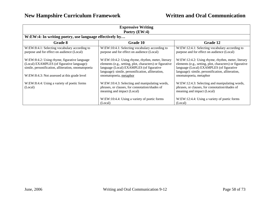| <b>Expressive Writing</b><br>Poetry (EW:4)                                                                                                                                                        |                                                                                                                                                                                                                                          |                                                                                                                                                                                                                                          |  |
|---------------------------------------------------------------------------------------------------------------------------------------------------------------------------------------------------|------------------------------------------------------------------------------------------------------------------------------------------------------------------------------------------------------------------------------------------|------------------------------------------------------------------------------------------------------------------------------------------------------------------------------------------------------------------------------------------|--|
| W:EW:4: In writing poetry, use language effectively by                                                                                                                                            |                                                                                                                                                                                                                                          |                                                                                                                                                                                                                                          |  |
| Grade 8                                                                                                                                                                                           | <b>Grade 10</b>                                                                                                                                                                                                                          | Grade 12                                                                                                                                                                                                                                 |  |
| W:EW:8:4.1: Selecting vocabulary according to<br>purpose and for effect on audience (Local)                                                                                                       | W:EW:10:4.1: Selecting vocabulary according to<br>purpose and for effect on audience (Local)                                                                                                                                             | W:EW:12:4.1: Selecting vocabulary according to<br>purpose and for effect on audience (Local)                                                                                                                                             |  |
| W:EW:8:4.2: Using rhyme, figurative language<br>(Local) EXAMPLES (of figurative language):<br>simile, personification, alliteration, onomatopoeia<br>W:EW:8:4.3: Not assessed at this grade level | W:EW:10:4.2: Using rhyme, rhythm, meter, literary<br>elements (e.g., setting, plot, characters) or figurative<br>language (Local) EXAMPLES (of figurative<br>language): simile, personification, alliteration,<br>onomatopoeia, metaphor | W:EW:12:4.2: Using rhyme, rhythm, meter, literary<br>elements (e.g., setting, plot, characters) or figurative<br>language (Local) EXAMPLES (of figurative<br>language): simile, personification, alliteration,<br>onomatopoeia, metaphor |  |
| W:EW:8:4.4: Using a variety of poetic forms<br>(Local)                                                                                                                                            | W:EW:10:4.3: Selecting and manipulating words,<br>phrases, or clauses, for connotation/shades of<br>meaning and impact (Local)                                                                                                           | W:EW:12:4.3: Selecting and manipulating words,<br>phrases, or clauses, for connotation/shades of<br>meaning and impact (Local)                                                                                                           |  |
|                                                                                                                                                                                                   | W:EW:10:4.4: Using a variety of poetic forms<br>(Local)                                                                                                                                                                                  | W:EW:12:4.4: Using a variety of poetic forms<br>(Local)                                                                                                                                                                                  |  |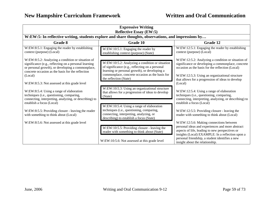| <b>Expressive Writing</b><br><b>Reflective Essay (EW:5)</b>                                                                                                                                                                     |                                                                                                                                                                                                        |                                                                                                                                                                                                                |
|---------------------------------------------------------------------------------------------------------------------------------------------------------------------------------------------------------------------------------|--------------------------------------------------------------------------------------------------------------------------------------------------------------------------------------------------------|----------------------------------------------------------------------------------------------------------------------------------------------------------------------------------------------------------------|
| W:EW:5: In reflective writing, students explore and share thoughts, observations, and impressions by                                                                                                                            |                                                                                                                                                                                                        |                                                                                                                                                                                                                |
| Grade 8                                                                                                                                                                                                                         | Grade 10                                                                                                                                                                                               | Grade 12                                                                                                                                                                                                       |
| W:EW:8:5.1: Engaging the reader by establishing<br>context (purpose) (Local)                                                                                                                                                    | W:EW:10:5.1: Engaging the reader by<br>establishing context (purpose) (State)                                                                                                                          | W:EW:12:5.1: Engaging the reader by establishing<br>context (purpose) (Local)                                                                                                                                  |
| W:EW:8:5.2: Analyzing a condition or situation of<br>significance (e.g., reflecting on a personal learning<br>or personal growth), or developing a commonplace,<br>concrete occasion as the basis for the reflection<br>(Local) | W:EW:10:5.2: Analyzing a condition or situation<br>of significance (e.g., reflecting on a personal<br>learning or personal growth), or developing a<br>commonplace, concrete occasion as the basis for | W:EW:12:5.2: Analyzing a condition or situation of<br>significance or developing a commonplace, concrete<br>occasion as the basis for the reflection (Local)<br>W:EW:12:5.3: Using an organizational structure |
| W:EW:8:5.3: Not assessed at this grade level                                                                                                                                                                                    | the reflection (State)                                                                                                                                                                                 | that allows for a progression of ideas to develop<br>(Local)                                                                                                                                                   |
| W:EW:8:5.4: Using a range of elaboration<br>techniques (i.e., questioning, comparing,<br>connecting, interpreting, analyzing, or describing) to                                                                                 | W:EW:10:5.3: Using an organizational structure<br>that allows for a progression of ideas to develop<br>(State)                                                                                         | W:EW:12:5.4: Using a range of elaboration<br>techniques (i.e., questioning, comparing,<br>connecting, interpreting, analyzing, or describing) to                                                               |
| establish a focus (Local)<br>W:EW:8:5.5: Providing closure - leaving the reader<br>with something to think about (Local)                                                                                                        | W:EW:10:5.4: Using a range of elaboration<br>techniques (i.e., questioning, comparing,<br>connecting, interpreting, analyzing, or<br>describing) to establish a focus (State)                          | establish a focus (Local)<br>W:EW:12:5.5: Providing closure - leaving the<br>reader with something to think about (Local)                                                                                      |
| W:EW:8:5.6: Not assessed at this grade level                                                                                                                                                                                    | W:EW:10:5.5: Providing closure - leaving the<br>reader with something to think about (State)                                                                                                           | W:EW:12:5.6: Making connections between<br>personal ideas and experiences and more abstract<br>aspects of life, leading to new perspectives or<br>insights (Local) EXAMPLE: In a reflection upon a             |
|                                                                                                                                                                                                                                 | W:EW:10:5.6: Not assessed at this grade level                                                                                                                                                          | personal friendship, a student identifies a new<br>insight about the relationship.                                                                                                                             |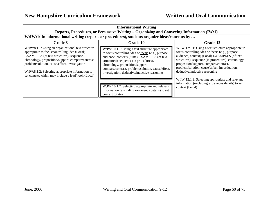| <b>Informational Writing</b>                                                                                                                                                                                                                                                                                                                                     |                                                                                                                                                                                                                                                                                                                                           |                                                                                                                                                                                                                                                                                                                                                                                              |
|------------------------------------------------------------------------------------------------------------------------------------------------------------------------------------------------------------------------------------------------------------------------------------------------------------------------------------------------------------------|-------------------------------------------------------------------------------------------------------------------------------------------------------------------------------------------------------------------------------------------------------------------------------------------------------------------------------------------|----------------------------------------------------------------------------------------------------------------------------------------------------------------------------------------------------------------------------------------------------------------------------------------------------------------------------------------------------------------------------------------------|
| Reports, Procedures, or Persuasive Writing – Organizing and Conveying Information (IW:1)<br>W:IW:1: In informational writing (reports or procedures), students organize ideas/concepts by                                                                                                                                                                        |                                                                                                                                                                                                                                                                                                                                           |                                                                                                                                                                                                                                                                                                                                                                                              |
| Grade 8                                                                                                                                                                                                                                                                                                                                                          | Grade 10                                                                                                                                                                                                                                                                                                                                  | Grade 12                                                                                                                                                                                                                                                                                                                                                                                     |
| W:IW:8:1.1: Using an organizational text structure<br>appropriate to focus/controlling idea (Local)<br>EXAMPLES (of text structures): sequence,<br>chronology, proposition/support, compare/contrast,<br>problem/solution, cause/effect, investigation<br>W:IW:8:1.2: Selecting appropriate information to<br>set context, which may include a lead/hook (Local) | W:IW:10:1.1: Using a text structure appropriate<br>to focus/controlling idea or thesis (e.g., purpose,<br>audience, context) (State) EXAMPLES (of text<br>structures): sequence (in procedures),<br>chronology, proposition/support,<br>compare/contrast, problem/solution, cause/effect,<br>investigation, deductive/inductive reasoning | W:IW:12:1.1: Using a text structure appropriate to<br>focus/controlling idea or thesis (e.g., purpose,<br>audience, context) (Local) EXAMPLES (of text<br>structures): sequence (in procedures), chronology,<br>proposition/support, compare/contrast,<br>problem/solution, cause/effect, investigation,<br>deductive/inductive reasoning<br>W:IW:12:1.2: Selecting appropriate and relevant |
|                                                                                                                                                                                                                                                                                                                                                                  | W:IW:10:1.2: Selecting appropriate and relevant<br>information (excluding extraneous details) to set<br>context (State)                                                                                                                                                                                                                   | information (excluding extraneous details) to set<br>context (Local)                                                                                                                                                                                                                                                                                                                         |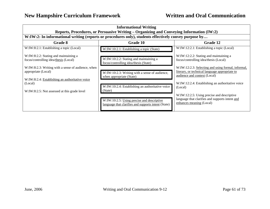| <b>Informational Writing</b>                                                                               |                                                                                                                                                                                                   |                                                                                                                                      |  |
|------------------------------------------------------------------------------------------------------------|---------------------------------------------------------------------------------------------------------------------------------------------------------------------------------------------------|--------------------------------------------------------------------------------------------------------------------------------------|--|
|                                                                                                            | Reports, Procedures, or Persuasive Writing - Organizing and Conveying Information (IW:2)<br>W:IW:2: In informational writing (reports or procedures only), students effectively convey purpose by |                                                                                                                                      |  |
| <b>Grade 8</b>                                                                                             | Grade 10                                                                                                                                                                                          | Grade 12                                                                                                                             |  |
| W:IW:8:2.1: Establishing a topic (Local)                                                                   | W:IW:10:2.1: Establishing a topic (State)                                                                                                                                                         | W:IW:12:2.1: Establishing a topic (Local)                                                                                            |  |
| W:IW:8:2.2: Stating and maintaining a<br>focus/controlling idea/thesis (Local)                             | W:IW:10:2.2: Stating and maintaining a<br>focus/controlling idea/thesis (State)                                                                                                                   | W:IW:12:2.2: Stating and maintaining a<br>focus/controlling idea/thesis (Local)                                                      |  |
| W:IW:8:2.3: Writing with a sense of audience, when<br>appropriate (Local)                                  | W:IW:10:2.3: Writing with a sense of audience,<br>when appropriate (State)                                                                                                                        | W:IW:12:2.3: Selecting and using formal, informal,<br>literary, or technical language appropriate to<br>audience and context (Local) |  |
| W:IW:8:2.4: Establishing an authoritative voice<br>(Local)<br>W:IW:8:2.5: Not assessed at this grade level | W:IW:10:2.4: Establishing an authoritative voice<br>(State)                                                                                                                                       | W:IW:12:2.4: Establishing an authoritative voice<br>(Local)                                                                          |  |
|                                                                                                            | W:IW:10:2.5: Using precise and descriptive<br>language that clarifies and supports intent (State)                                                                                                 | W:IW:12:2.5: Using precise and descriptive<br>language that clarifies and supports intent and<br>enhances meaning (Local)            |  |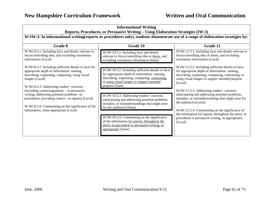| <b>Informational Writing</b><br>Reports, Procedures, or Persuasive Writing - Using Elaboration Strategies (IW:3)                                                                                                                                |                                                                                                                                                                                                                                                                                |                                                                                                                                                                                                                                                                                                                                                          |
|-------------------------------------------------------------------------------------------------------------------------------------------------------------------------------------------------------------------------------------------------|--------------------------------------------------------------------------------------------------------------------------------------------------------------------------------------------------------------------------------------------------------------------------------|----------------------------------------------------------------------------------------------------------------------------------------------------------------------------------------------------------------------------------------------------------------------------------------------------------------------------------------------------------|
| W:IW:3: In informational writing(reports or procedures only), students demonstrate use of a range of elaboration strategies by:                                                                                                                 |                                                                                                                                                                                                                                                                                |                                                                                                                                                                                                                                                                                                                                                          |
| Grade 8                                                                                                                                                                                                                                         | Grade 10                                                                                                                                                                                                                                                                       | Grade 12                                                                                                                                                                                                                                                                                                                                                 |
| W:IW:8:3.1: Including facts and details relevant to<br>focus/controlling idea, and excluding extraneous<br>information (Local)                                                                                                                  | W:IW:10:3.1: Including facts and details<br>relevant to focus/controlling idea or thesis, and<br>excluding extraneous information (State)                                                                                                                                      | W:IW:12:3.1: Including facts and details relevant to<br>focus/controlling idea or thesis, and excluding<br>extraneous information (Local)                                                                                                                                                                                                                |
| W:IW:8:3.2: Including sufficient details or facts for<br>appropriate depth of information: naming,<br>describing, explaining, comparing, using visual<br>images (Local)<br>W:IW:8:3.3: Addressing readers' concerns                             | W:IW:10:3.2: Including sufficient details or facts<br>for appropriate depth of information: naming,<br>describing, explaining, comparing, contrasting,<br>or using visual images to support intended<br>purpose (State)                                                        | W:IW:12:3.2: Including sufficient details or facts<br>for appropriate depth of information: naming,<br>describing, explaining, comparing, contrasting, or<br>using visual images to support intended purpose<br>(Local)                                                                                                                                  |
| $(including counterarguments - in pervasive)$<br>writing; addressing potential problems -in<br>procedures; providing context -in reports) (Local)<br>W:IW:8:3.4: Commenting on the significance of the<br>information, when appropriate (Local) | W:IW:10:3.3: Addressing readers' concerns<br>(anticipating and addressing potential problems,<br>mistakes, or misunderstandings that might arise<br>for the audience) (State)<br>W:IW:10:3.4: Commenting on the significance<br>of the information (in reports, throughout the | W:IW:12:3.3: Addressing readers' concerns<br>(anticipating and addressing potential problems,<br>mistakes, or misunderstandings that might arise for<br>the audience) (Local)<br>W:IW:12:3.4: Commenting on the significance of<br>the information (in reports, throughout the piece; in<br>procedural or persuasive writing, as appropriate)<br>(Local) |
|                                                                                                                                                                                                                                                 | piece; in procedural or persuasive writing, as<br>appropriate) (State)                                                                                                                                                                                                         |                                                                                                                                                                                                                                                                                                                                                          |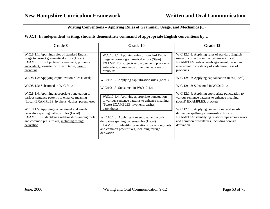| Writing Conventions – Applying Rules of Grammar, Usage, and Mechanics (C)                                                                                                                                                                                                                                                                                   |                                                                                                                                                                                                                                                                                                                                                                  |                                                                                                                                                                                                                                                                                                                                           |
|-------------------------------------------------------------------------------------------------------------------------------------------------------------------------------------------------------------------------------------------------------------------------------------------------------------------------------------------------------------|------------------------------------------------------------------------------------------------------------------------------------------------------------------------------------------------------------------------------------------------------------------------------------------------------------------------------------------------------------------|-------------------------------------------------------------------------------------------------------------------------------------------------------------------------------------------------------------------------------------------------------------------------------------------------------------------------------------------|
| W:C:1: In independent writing, students demonstrate command of appropriate English conventions by                                                                                                                                                                                                                                                           |                                                                                                                                                                                                                                                                                                                                                                  |                                                                                                                                                                                                                                                                                                                                           |
| Grade 8                                                                                                                                                                                                                                                                                                                                                     | <b>Grade 10</b>                                                                                                                                                                                                                                                                                                                                                  | Grade 12                                                                                                                                                                                                                                                                                                                                  |
| W:C:8:1.1: Applying rules of standard English<br>usage to correct grammatical errors (Local)<br>EXAMPLES: subject-verb agreement, pronoun-<br>antecedent, consistency of verb tense, case of<br>pronouns                                                                                                                                                    | W:C:10:1.1: Applying rules of standard English<br>usage to correct grammatical errors (State)<br>EXAMPLES: subject-verb agreement, pronoun-<br>antecedent, consistency of verb tense, case of<br>pronouns                                                                                                                                                        | W:C:12:1.1: Applying rules of standard English<br>usage to correct grammatical errors (Local)<br>EXAMPLES: subject-verb agreement, pronoun-<br>antecedent, consistency of verb tense, case of<br>pronouns                                                                                                                                 |
| W:C:8:1.2: Applying capitalization rules (Local)                                                                                                                                                                                                                                                                                                            | W:C:10:1.2: Applying capitalization rules (Local)                                                                                                                                                                                                                                                                                                                | W:C:12:1.2: Applying capitalization rules (Local)                                                                                                                                                                                                                                                                                         |
| $W:C:8:1.3$ : Subsumed in $W:C:8:1.4$                                                                                                                                                                                                                                                                                                                       | $W: C: 10:1.3$ : Subsumed in $W: C: 10:1.4$                                                                                                                                                                                                                                                                                                                      | $W: C: 12:1.3$ : Subsumed in $W: C: 12:1.4$                                                                                                                                                                                                                                                                                               |
| W:C:8:1.4: Applying appropriate punctuation to<br>various sentence patterns to enhance meaning<br>(Local) EXAMPLES: hyphens, dashes, parentheses<br>W:C:8:1:5: Applying conventional and word-<br>derivative spelling patterns/rules (Local)<br>EXAMPLES: identifying relationships among roots<br>and common pre/suffixes, including foreign<br>derivation | W:C:10:1.4: Applying appropriate punctuation<br>to various sentence patterns to enhance meaning<br>(State) EXAMPLES: hyphens, dashes,<br>parentheses<br>W:C:10:1.5: Applying conventional and word-<br>derivative spelling patterns/rules (Local)<br>EXAMPLES: identifying relationships among roots<br>and common pre/suffixes, including foreign<br>derivation | W:C:12:1.4: Applying appropriate punctuation to<br>various sentence patterns to enhance meaning<br>(Local) EXAMPLES: brackets<br>W:C:12:1.5: Applying conventional and word-<br>derivative spelling patterns/rules (Local)<br>EXAMPLES: identifying relationships among roots<br>and common pre/suffixes, including foreign<br>derivation |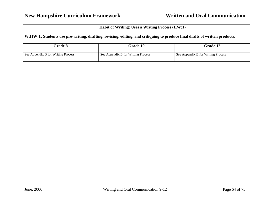| <b>Habit of Writing: Uses a Writing Process (HW:1)</b>                                                                     |                                    |                                    |
|----------------------------------------------------------------------------------------------------------------------------|------------------------------------|------------------------------------|
| W:HW:1: Students use pre-writing, drafting, revising, editing, and critiquing to produce final drafts of written products. |                                    |                                    |
| Grade 8                                                                                                                    | <b>Grade 10</b>                    | Grade 12                           |
| See Appendix B for Writing Process                                                                                         | See Appendix B for Writing Process | See Appendix B for Writing Process |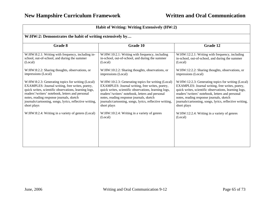| Habit of Writing: Writing Extensively (HW:2)                                                                                                                                                                                                                                                                                            |                                                                                                                                                                                                                                                                                                                                          |                                                                                                                                                                                                                                                                                                                                          |
|-----------------------------------------------------------------------------------------------------------------------------------------------------------------------------------------------------------------------------------------------------------------------------------------------------------------------------------------|------------------------------------------------------------------------------------------------------------------------------------------------------------------------------------------------------------------------------------------------------------------------------------------------------------------------------------------|------------------------------------------------------------------------------------------------------------------------------------------------------------------------------------------------------------------------------------------------------------------------------------------------------------------------------------------|
| W:HW:2: Demonstrates the habit of writing extensively by                                                                                                                                                                                                                                                                                |                                                                                                                                                                                                                                                                                                                                          |                                                                                                                                                                                                                                                                                                                                          |
| Grade 8                                                                                                                                                                                                                                                                                                                                 | Grade 10                                                                                                                                                                                                                                                                                                                                 | Grade 12                                                                                                                                                                                                                                                                                                                                 |
| W:HW:8:2.1: Writing with frequency, including in-<br>school, out-of-school, and during the summer<br>(Local)                                                                                                                                                                                                                            | W:HW:10:2.1: Writing with frequency, including<br>in-school, out-of-school, and during the summer<br>(Local)                                                                                                                                                                                                                             | W:HW:12:2.1: Writing with frequency, including<br>in-school, out-of-school, and during the summer<br>(Local)                                                                                                                                                                                                                             |
| W:HW:8:2.2: Sharing thoughts, observations, or<br>impressions (Local)                                                                                                                                                                                                                                                                   | W:HW:10:2.2: Sharing thoughts, observations, or<br>impressions (Local)                                                                                                                                                                                                                                                                   | W:HW:12:2.2: Sharing thoughts, observations, or<br>impressions (Local)                                                                                                                                                                                                                                                                   |
| W:HW:8:2.3: Generating topics for writing (Local)<br>EXAMPLES: Journal writing, free writes, poetry,<br>quick writes, scientific observations, learning logs,<br>readers'/writers' notebook, letters and personal<br>notes, reading response journals, sketch<br>journals/cartooning, songs, lyrics, reflective writing,<br>short plays | W:HW:10:2.3: Generating topics for writing (Local)<br>EXAMPLES: Journal writing, free writes, poetry,<br>quick writes, scientific observations, learning logs,<br>readers'/writers' notebook, letters and personal<br>notes, reading response journals, sketch<br>journals/cartooning, songs, lyrics, reflective writing,<br>short plays | W:HW:12:2.3: Generating topics for writing (Local)<br>EXAMPLES: Journal writing, free writes, poetry,<br>quick writes, scientific observations, learning logs,<br>readers'/writers' notebook, letters and personal<br>notes, reading response journals, sketch<br>journals/cartooning, songs, lyrics, reflective writing,<br>short plays |
| W:HW:8:2.4: Writing in a variety of genres (Local)                                                                                                                                                                                                                                                                                      | W:HW:10:2.4: Writing in a variety of genres<br>(Local)                                                                                                                                                                                                                                                                                   | W:HW:12:2.4: Writing in a variety of genres<br>(Local)                                                                                                                                                                                                                                                                                   |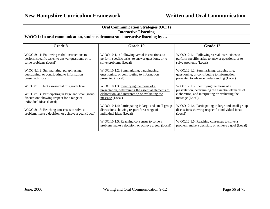| <b>Oral Communication Strategies (OC:1)</b><br><b>Interactive Listening</b>                                                                                                  |                                                                                                                                                                       |                                                                                                                                                                          |
|------------------------------------------------------------------------------------------------------------------------------------------------------------------------------|-----------------------------------------------------------------------------------------------------------------------------------------------------------------------|--------------------------------------------------------------------------------------------------------------------------------------------------------------------------|
| W:OC:1: In oral communication, students demonstrate interactive listening by                                                                                                 |                                                                                                                                                                       |                                                                                                                                                                          |
| Grade 8                                                                                                                                                                      | Grade 10                                                                                                                                                              | Grade 12                                                                                                                                                                 |
| W:OC:8:1.1: Following verbal instructions to<br>perform specific tasks, to answer questions, or to<br>solve problems (Local)                                                 | W:OC:10:1.1: Following verbal instructions, to<br>perform specific tasks, to answer questions, or to<br>solve problems (Local)                                        | $W:OC:12:1.1$ : Following verbal instructions to<br>perform specific tasks, to answer questions, or to<br>solve problems (Local)                                         |
| W:OC:8:1.2: Summarizing, paraphrasing,<br>questioning, or contributing to information<br>presented (Local)                                                                   | W:OC:10:1.2: Summarizing, paraphrasing,<br>questioning, or contributing to information<br>presented (Local)                                                           | W:OC:12:1.2: Summarizing, paraphrasing,<br>questioning, or contributing to information<br>presented to advance understanding (Local)                                     |
| W:OC:8:1.3: Not assessed at this grade level<br>W:OC:8:1.4: Participating in large and small group<br>discussions showing respect for a range of<br>individual ideas (Local) | W:OC:10:1.3: Identifying the thesis of a<br>presentation, determining the essential elements of<br>elaboration, and interpreting or evaluating the<br>message (Local) | $W:OC:12:1.3$ : Identifying the thesis of a<br>presentation, determining the essential elements of<br>elaboration, and interpreting or evaluating the<br>message (Local) |
| W:OC:8:1.5: Reaching consensus to solve a<br>problem, make a decision, or achieve a goal (Local)                                                                             | W:OC:10:1.4: Participating in large and small group<br>discussions showing respect for a range of<br>individual ideas (Local)                                         | W:OC:12:1.4: Participating in large and small group<br>discussions showing respect for individual ideas<br>(Local)                                                       |
|                                                                                                                                                                              | W:OC:10:1.5: Reaching consensus to solve a<br>problem, make a decision, or achieve a goal (Local)                                                                     | W:OC:12:1.5: Reaching consensus to solve a<br>problem, make a decision, or achieve a goal (Local)                                                                        |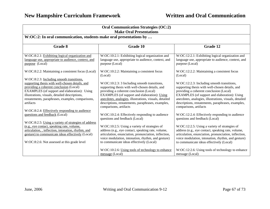| <b>Oral Communication Strategies (OC:2)</b><br><b>Make Oral Presentations</b>                                                                                                                                                                                                                               |                                                                                                                                                                                                                                                                                                                                      |                                                                                                                                                                                                                                                                                                                                    |
|-------------------------------------------------------------------------------------------------------------------------------------------------------------------------------------------------------------------------------------------------------------------------------------------------------------|--------------------------------------------------------------------------------------------------------------------------------------------------------------------------------------------------------------------------------------------------------------------------------------------------------------------------------------|------------------------------------------------------------------------------------------------------------------------------------------------------------------------------------------------------------------------------------------------------------------------------------------------------------------------------------|
| W:OC:2: In oral communication, students make oral presentations by                                                                                                                                                                                                                                          |                                                                                                                                                                                                                                                                                                                                      |                                                                                                                                                                                                                                                                                                                                    |
| Grade 8                                                                                                                                                                                                                                                                                                     | <b>Grade 10</b>                                                                                                                                                                                                                                                                                                                      | Grade 12                                                                                                                                                                                                                                                                                                                           |
| W:OC:8:2.1: Exhibiting logical organization and<br>language use, appropriate to audience, context, and<br>purpose (Local)                                                                                                                                                                                   | W:OC:10:2.1: Exhibiting logical organization and<br>language use, appropriate to audience, context, and<br>purpose (Local)                                                                                                                                                                                                           | W:OC:12:2.1: Exhibiting logical organization and<br>language use, appropriate to audience, context, and<br>purpose (Local)                                                                                                                                                                                                         |
| W:OC:8:2.2: Maintaining a consistent focus (Local)                                                                                                                                                                                                                                                          | W:OC:10:2.2: Maintaining a consistent focus<br>(Local)                                                                                                                                                                                                                                                                               | W:OC:12:2.2: Maintaining a consistent focus<br>(Local)                                                                                                                                                                                                                                                                             |
| W:OC:8:2.3: Including smooth transitions,<br>supporting thesis with well-chosen details, and<br>providing a coherent conclusion (Local)<br>EXAMPLES (of support and elaboration): Using<br>illustrations, visuals, detailed descriptions,<br>restatements, paraphrases, examples, comparisons,<br>artifacts | W:OC:10:2.3: 3 Including smooth transitions,<br>supporting thesis with well-chosen details, and<br>providing a coherent conclusion (Local)<br>EXAMPLES (of support and elaboration): Using<br>anecdotes, analogies, illustrations, visuals, detailed<br>descriptions, restatements, paraphrases, examples,<br>comparisons, artifacts | W:OC:12:2.3: Including smooth transitions,<br>supporting thesis with well-chosen details, and<br>providing a coherent conclusion (Local)<br>EXAMPLES (of support and elaboration): Using<br>anecdotes, analogies, illustrations, visuals, detailed<br>descriptions, restatements, paraphrases, examples,<br>comparisons, artifacts |
| W:OC:8:2.4: Effectively responding to audience<br>questions and feedback (Local)<br>W:OC:8:2.5: Using a variety of strategies of address                                                                                                                                                                    | W:OC:10:2.4: Effectively responding to audience<br>questions and feedback (Local)                                                                                                                                                                                                                                                    | W:OC:12:2.4: Effectively responding to audience<br>questions and feedback (Local)                                                                                                                                                                                                                                                  |
| (e.g., eye contact, speaking rate, volume,<br>articulation, , inflection, intonation, rhythm, and<br>gesture) to communicate ideas effectively (Local)<br>W:OC:8:2.6: Not assessed at this grade level                                                                                                      | W:OC:10:2.5: Using a variety of strategies of<br>address (e.g., eye contact, speaking rate, volume,<br>articulation, enunciation, pronunciation, inflection,<br>voice modulation, intonation, rhythm, and gesture)<br>to communicate ideas effectively (Local)                                                                       | W:OC:12:2.5: Using a variety of strategies of<br>address (e.g., eye contact, speaking rate, volume,<br>articulation, enunciation, pronunciation, inflection,<br>voice modulation, intonation, rhythm, and gesture)<br>to communicate ideas effectively (Local)                                                                     |
|                                                                                                                                                                                                                                                                                                             | W:OC:10:2.6: Using tools of technology to enhance<br>message (Local)                                                                                                                                                                                                                                                                 | W:OC:12:2.6: Using tools of technology to enhance<br>message (Local)                                                                                                                                                                                                                                                               |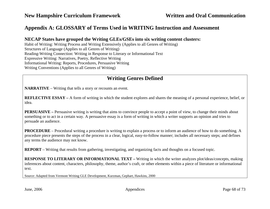## **Appendix A: GLOSSARY of Terms Used in WRITING Instruction and Assessment**

### **NECAP States have grouped the Writing GLEs/GSEs into six writing content clusters:**

Habit of Writing: Writing Process and Writing Extensively (Applies to all Genres of Writing) Structures of Language (Applies to all Genres of Writing) Reading-Writing Connection: Writing in Response to Literary or Informational Text Expressive Writing: Narratives, Poetry, Reflective Writing Informational Writing: Reports, Procedures, Persuasive Writing Writing Conventions (Applies to all Genres of Writing)

## **Writing Genres Defined**

**NARRATIVE** – Writing that tells a story or recounts an event.

**REFLECTIVE ESSAY –** A form of writing in which the student explores and shares the meaning of a personal experience, belief, or idea.

**PERSUASIVE** – Persuasive writing is writing that aims to convince people to accept a point of view, to change their minds about something or to act in a certain way. A persuasive essay is a form of writing in which a writer supports an opinion and tries to persuade an audience.

**PROCEDURE** – Procedural writing a procedure is writing to explain a process or to inform an audience of how to do something. A procedure piece presents the steps of the process in a clear, logical, easy-to-follow manner; includes all necessary steps; and defines any terms the audience may not know.

**REPORT** – Writing that results from gathering, investigating, and organizing facts and thoughts on a focused topic.

**RESPONSE TO LITERARY OR INFORMATIONAL TEXT – Writing in which the writer analyzes plot/ideas/concepts, making** inferences about content, characters, philosophy, theme, author's craft, or other elements within a piece of literature or informational text.

Source: Adapted from Vermont Writing GLE Development, Kurzman, Gephart, Hawkins, 2000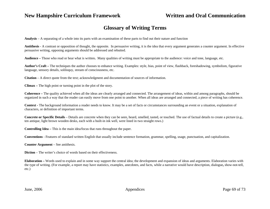## **Glossary of Writing Terms**

**Analysis** – A separating of a whole into its parts with an examination of these parts to find out their nature and function

**Antithesis** - A contrast or opposition of thought, the opposite. In persuasive writing, it is the idea that every argument generates a counter argument. In effective persuasive writing, opposing arguments should be addressed and rebutted.

**Audience –** Those who read or hear what is written**.** Many qualities of writing must be appropriate to the audience: voice and tone, language, etc.

**Author's Craft –** The techniques the author chooses to enhance writing. Examples: style, bias, point of view, flashback, foreshadowing, symbolism, figurative language, sensory details, soliloquy, stream of consciousness, etc.

**Citation** – A direct quote from the text; acknowledgment and documentation of sources of information.

**Climax –** The high point or turning point in the plot of the story.

**Coherence –** The quality achieved when all the ideas are clearly arranged and connected. The arrangement of ideas, within and among paragraphs, should be organized in such a way that the reader can easily move from one point to another. When all ideas are arranged and connected, a piece of writing has coherence.

**Context -** The background information a reader needs to know. It may be a set of facts or circumstances surrounding an event or a situation, explanation of characters, or definition of important terms.

**Concrete or Specific Details** – Details are concrete when they can be seen, heard, smelled, tasted, or touched. The use of factual details to create a picture (e.g., ten antique, light brown wooden desks, each with a built-in ink well, were lined in two straight rows.)

**Controlling Idea –** This is the main idea/focus that runs throughout the paper.

**Conventions** - Features of standard written English that usually include sentence formation, grammar, spelling, usage, punctuation, and capitalization.

**Counter Argument** – See antithesis.

**Diction** – The writer's choice of words based on their effectiveness.

**Elaboration –** Words used to explain and in some way support the central idea; the development and expansion of ideas and arguments. Elaboration varies with the type of writing. (For example, a report may have statistics, examples, anecdotes, and facts, while a narrative would have description, dialogue**,** show-not-tell, etc.)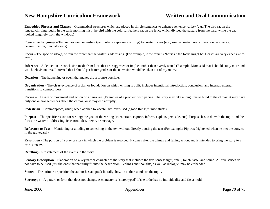**Embedded Phrases and Clauses –** Grammatical structures which are placed in simple sentences to enhance sentence variety (e.g., The bird sat on the fence…chirping loudly in the early morning mist; the bird with the colorful feathers sat on the fence which divided the pasture from the yard, while the cat looked longingly from the window.)

**Figurative Language –** Techniques used in writing (particularly expressive writing) to create images (e.g., similes, metaphors, alliteration, assonance, personification, onomatopoeia).

**Focus –** The specific idea(s) within the topic that the writer is addressing. **(**For example, if the topic is "horses," the focus might be: Horses are very expensive to own.)

**Inference -** A deduction or conclusion made from facts that are suggested or implied rather than overtly stated (Example: Mom said that I should study more and watch television less. I inferred that I should get better grades or the television would be taken out of my room.)

**Occasion** – The happening or event that makes the response possible.

**Organization – The clear** evidence of a plan or foundation on which writing is built; includes intentional introduction, conclusion, and internal/external transitions to connect ideas.

**Pacing** – The rate of movement and action of a narrative. (Examples of a problem with pacing: The story may take a long time to build to the climax, it may have only one or two sentences about the climax, or it may end abruptly.)

**Pedestrian** – Commonplace, usual; when applied to vocabulary, over-used ("good things," "nice stuff").

**Purpose** – The specific reason for writing; the goal of the writing (to entertain, express, inform, explain, persuade, etc.). Purpose has to do with the topic and the focus the writer is addressing, its central idea, theme, or message.

**Reference to Text –** Mentioning or alluding to something in the text without directly quoting the text (For example: Pip was frightened when he met the convict in the graveyard.)

**Resolution -** The portion of a play or story in which the problem is resolved. It comes after the climax and falling action, and is intended to bring the story to a satisfying end.

**Retelling** - A restatement of the events in the story.

**Sensory Description** – Elaboration on a key part or character of the story that includes the five senses: sight, smell, touch, taste, and sound. All five senses do not have to be used, just the ones that naturally fit into the description. Feelings and thoughts, as well as dialogue, may be embedded.

**Stance –** The attitude or position the author has adopted; literally, how an author stands on the topic.

**Stereotype** – A pattern or form that does not change. A character is "stereotyped" if she or he has no individuality and fits a mold.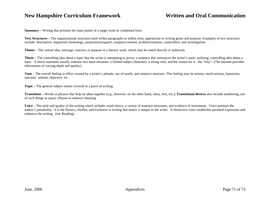**Summary** – Writing that presents the main points of a larger work in condensed form.

**Text Structures –** The organizational structures used within paragraphs or within texts, appropriate to writing genre and purpose. Examples of text structures include: description, sequential chronology, proposition/support, compare/contrast, problem/solution, cause/effect, and investigation.

**Theme** – The central idea, message, concern, or purpose in a literary work, which may be stated directly or indirectly.

**Thesis** – The controlling idea about a topic that the writer is attempting to prove; a sentence that announces the writer's main, unifying, controlling idea about a topic. A thesis statement usually contains two main elements: a limited subject (Internet), a strong verb, and the reason for it - the "why"- (The Internet provides information of varying depth and quality).

**Tone** – The overall feeling or effect created by a writer's attitude, use of words, and sentence structure. This feeling may be serious, mock-serious, humorous, sarcastic, solemn, objective, etc.

**Topic –** The general subject matter covered in a piece of writing**.** 

**Transitions –** Words or phrases that help tie ideas together (e.g., however, on the other hand, since, first, etc.); **Transitional devices** also include numbering, use of such things as space, ellipses to enhance meaning.

**Voice** – The style and quality of the writing which includes word choice, a variety of sentence structures, and evidence of investment. Voice portrays the author's personality. It is the fluency, rhythm, and liveliness in writing that makes it unique to the writer. A distinctive voice establishes personal expression and enhances the writing. (see Reading)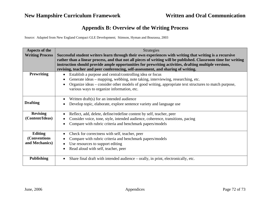## **Appendix B: Overview of the Writing Process**

Source: Adapted from New England Compact GLE Development; Stimson, Hyman and Bourassa, 2003

| Aspects of the         | <b>Strategies</b>                                                                                                                                                                                                       |
|------------------------|-------------------------------------------------------------------------------------------------------------------------------------------------------------------------------------------------------------------------|
| <b>Writing Process</b> | Successful student writers learn through their own experiences with writing that writing is a recursive                                                                                                                 |
|                        | rather than a linear process, and that not all pieces of writing will be published. Classroom time for writing<br>instruction should provide ample opportunities for prewriting activities, drafting multiple versions, |
|                        | revising, teacher and peer conferencing, self-assessment, and sharing of writing.                                                                                                                                       |
| <b>Prewriting</b>      | Establish a purpose and central/controlling idea or focus<br>$\bullet$                                                                                                                                                  |
|                        | Generate ideas – mapping, webbing, note taking, interviewing, researching, etc.                                                                                                                                         |
|                        | Organize ideas – consider other models of good writing, appropriate text structures to match purpose,<br>various ways to organize information, etc.                                                                     |
|                        | Written draft(s) for an intended audience                                                                                                                                                                               |
| <b>Drafting</b>        | Develop topic, elaborate, explore sentence variety and language use                                                                                                                                                     |
| <b>Revising</b>        | Reflect, add, delete, define/redefine content by self, teacher, peer                                                                                                                                                    |
| (Content/Ideas)        | Consider voice, tone, style, intended audience, coherence, transitions, pacing                                                                                                                                          |
|                        | Compare with rubric criteria and benchmark papers/models                                                                                                                                                                |
| Editing                | Check for correctness with self, teacher, peer                                                                                                                                                                          |
| (Conventions           | Compare with rubric criteria and benchmark papers/models                                                                                                                                                                |
| and Mechanics)         | Use resources to support editing                                                                                                                                                                                        |
|                        | Read aloud with self, teacher, peer                                                                                                                                                                                     |
| <b>Publishing</b>      | Share final draft with intended audience – orally, in print, electronically, etc.                                                                                                                                       |